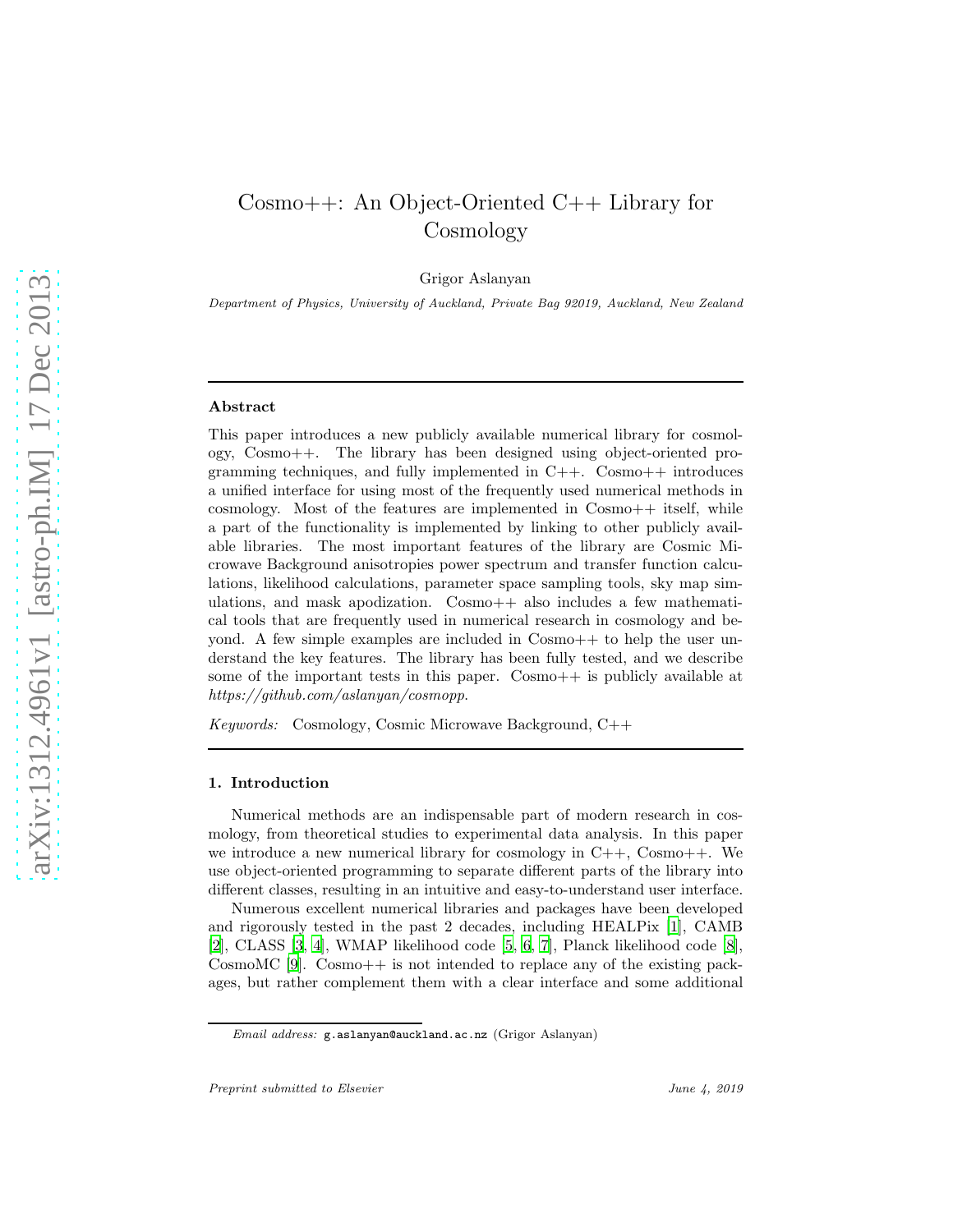# Cosmo++: An Object-Oriented C++ Library for Cosmology

Grigor Aslanyan

Department of Physics, University of Auckland, Private Bag 92019, Auckland, New Zealand

### Abstract

This paper introduces a new publicly available numerical library for cosmology, Cosmo++. The library has been designed using object-oriented programming techniques, and fully implemented in C++. Cosmo++ introduces a unified interface for using most of the frequently used numerical methods in cosmology. Most of the features are implemented in  $\text{Cosmo++}$  itself, while a part of the functionality is implemented by linking to other publicly available libraries. The most important features of the library are Cosmic Microwave Background anisotropies power spectrum and transfer function calculations, likelihood calculations, parameter space sampling tools, sky map simulations, and mask apodization. Cosmo++ also includes a few mathematical tools that are frequently used in numerical research in cosmology and beyond. A few simple examples are included in Cosmo++ to help the user understand the key features. The library has been fully tested, and we describe some of the important tests in this paper. Cosmo++ is publicly available at *https://github.com/aslanyan/cosmopp*.

*Keywords:* Cosmology, Cosmic Microwave Background, C++

## 1. Introduction

Numerical methods are an indispensable part of modern research in cosmology, from theoretical studies to experimental data analysis. In this paper we introduce a new numerical library for cosmology in  $C++$ ,  $Cosmo++$ . We use object-oriented programming to separate different parts of the library into different classes, resulting in an intuitive and easy-to-understand user interface.

Numerous excellent numerical libraries and packages have been developed and rigorously tested in the past 2 decades, including HEALPix [\[1\]](#page-23-0), CAMB [\[2\]](#page-23-1), CLASS [\[3,](#page-23-2) [4](#page-23-3)], WMAP likelihood code [\[5,](#page-23-4) [6](#page-23-5), [7\]](#page-23-6), Planck likelihood code [\[8\]](#page-23-7), CosmoMC [\[9\]](#page-23-8).  $Cosmo++$  is not intended to replace any of the existing packages, but rather complement them with a clear interface and some additional

Email address: g.aslanyan@auckland.ac.nz (Grigor Aslanyan)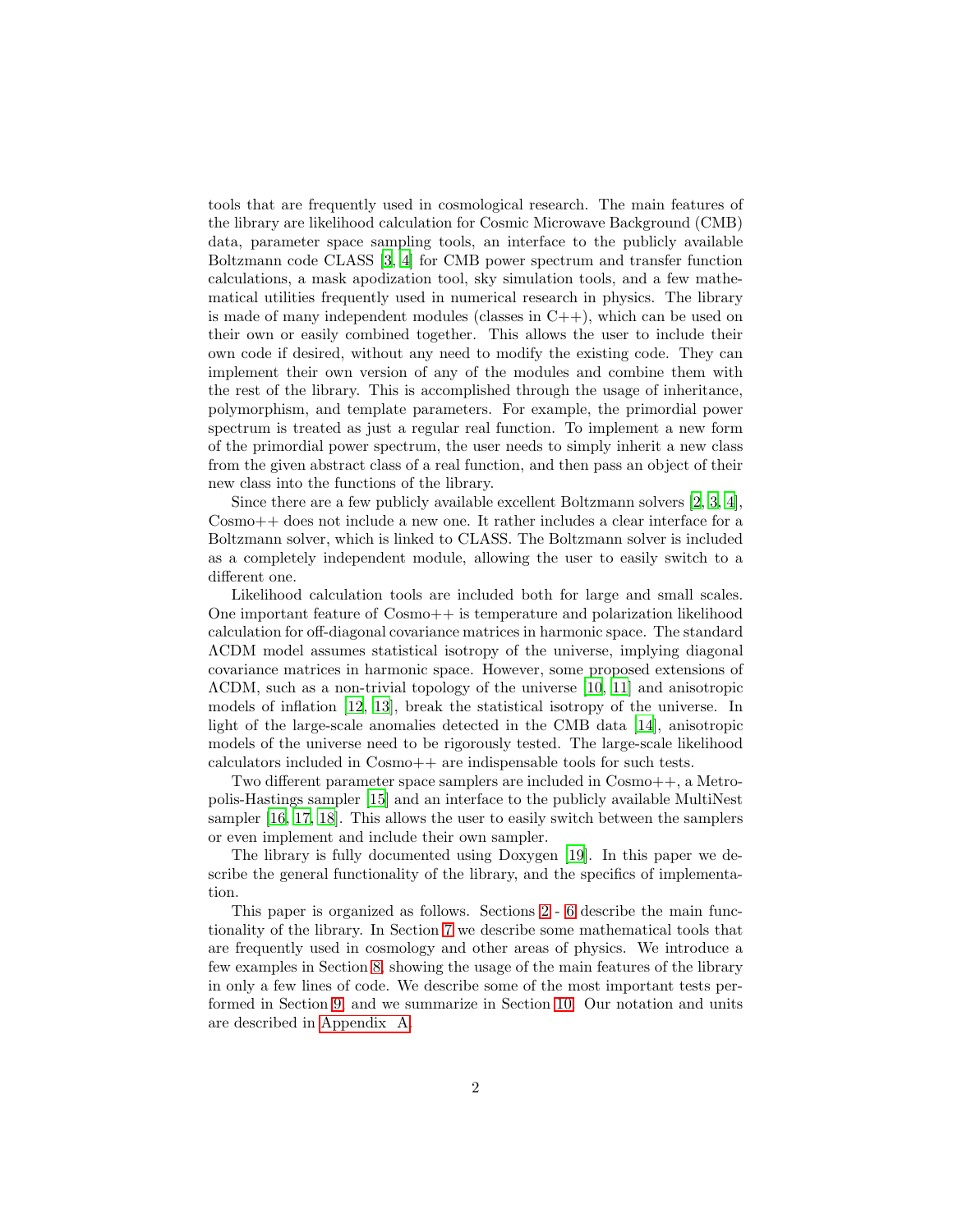tools that are frequently used in cosmological research. The main features of the library are likelihood calculation for Cosmic Microwave Background (CMB) data, parameter space sampling tools, an interface to the publicly available Boltzmann code CLASS [\[3,](#page-23-2) [4](#page-23-3)] for CMB power spectrum and transfer function calculations, a mask apodization tool, sky simulation tools, and a few mathematical utilities frequently used in numerical research in physics. The library is made of many independent modules (classes in  $C++$ ), which can be used on their own or easily combined together. This allows the user to include their own code if desired, without any need to modify the existing code. They can implement their own version of any of the modules and combine them with the rest of the library. This is accomplished through the usage of inheritance, polymorphism, and template parameters. For example, the primordial power spectrum is treated as just a regular real function. To implement a new form of the primordial power spectrum, the user needs to simply inherit a new class from the given abstract class of a real function, and then pass an object of their new class into the functions of the library.

Since there are a few publicly available excellent Boltzmann solvers [\[2](#page-23-1), [3](#page-23-2), [4\]](#page-23-3), Cosmo++ does not include a new one. It rather includes a clear interface for a Boltzmann solver, which is linked to CLASS. The Boltzmann solver is included as a completely independent module, allowing the user to easily switch to a different one.

Likelihood calculation tools are included both for large and small scales. One important feature of Cosmo++ is temperature and polarization likelihood calculation for off-diagonal covariance matrices in harmonic space. The standard ΛCDM model assumes statistical isotropy of the universe, implying diagonal covariance matrices in harmonic space. However, some proposed extensions of ΛCDM, such as a non-trivial topology of the universe [\[10](#page-23-9), [11\]](#page-23-10) and anisotropic models of inflation [\[12,](#page-23-11) [13\]](#page-24-0), break the statistical isotropy of the universe. In light of the large-scale anomalies detected in the CMB data [\[14\]](#page-24-1), anisotropic models of the universe need to be rigorously tested. The large-scale likelihood calculators included in Cosmo++ are indispensable tools for such tests.

Two different parameter space samplers are included in Cosmo++, a Metropolis-Hastings sampler [\[15\]](#page-24-2) and an interface to the publicly available MultiNest sampler [\[16,](#page-24-3) [17](#page-24-4), [18](#page-24-5)]. This allows the user to easily switch between the samplers or even implement and include their own sampler.

The library is fully documented using Doxygen [\[19](#page-24-6)]. In this paper we describe the general functionality of the library, and the specifics of implementation.

This paper is organized as follows. Sections [2](#page-2-0) - [6](#page-10-0) describe the main functionality of the library. In Section [7](#page-11-0) we describe some mathematical tools that are frequently used in cosmology and other areas of physics. We introduce a few examples in Section [8,](#page-13-0) showing the usage of the main features of the library in only a few lines of code. We describe some of the most important tests performed in Section [9,](#page-14-0) and we summarize in Section [10.](#page-19-0) Our notation and units are described in [Appendix A.](#page-20-0)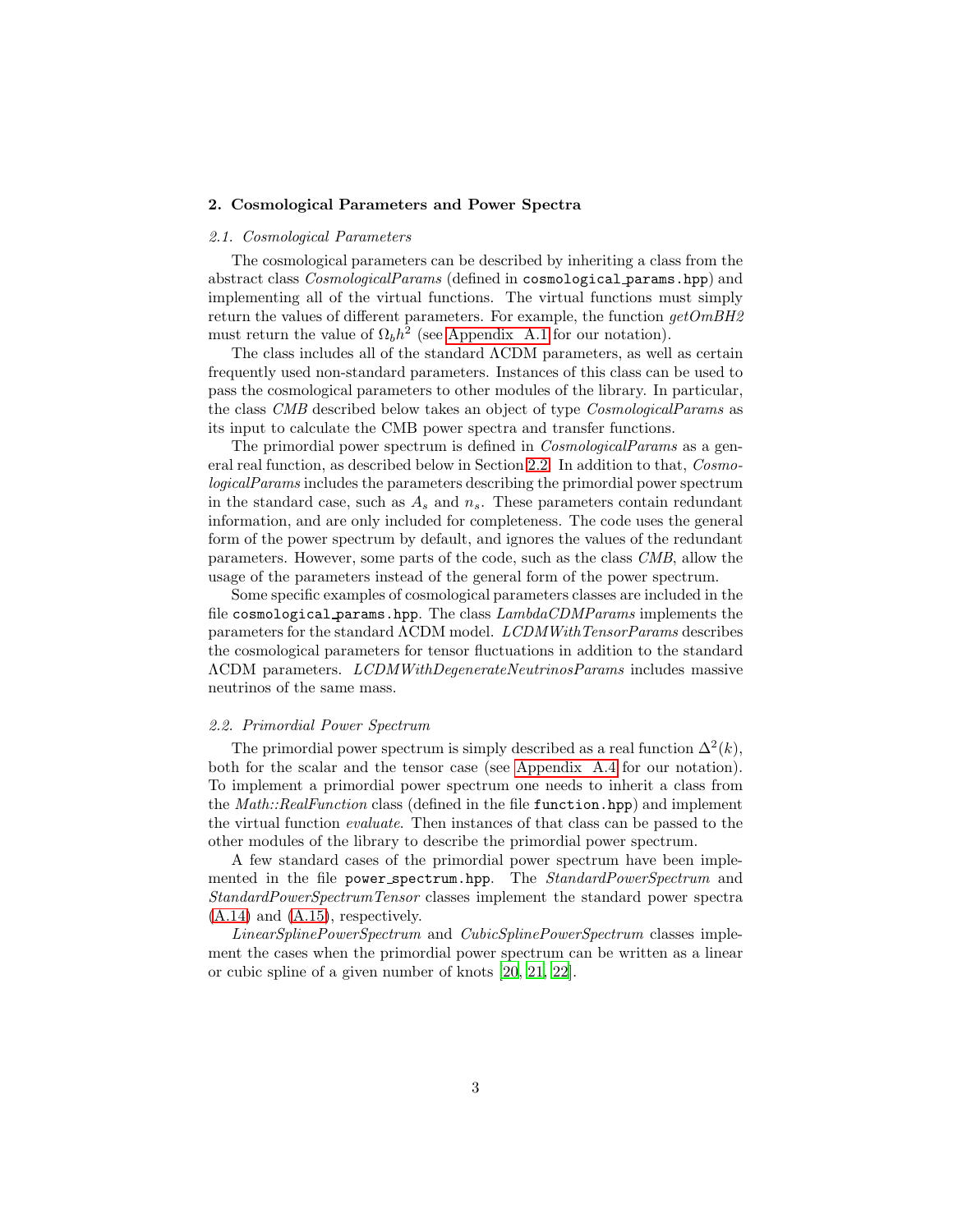# <span id="page-2-0"></span>2. Cosmological Parameters and Power Spectra

## *2.1. Cosmological Parameters*

The cosmological parameters can be described by inheriting a class from the abstract class *CosmologicalParams* (defined in cosmological params.hpp) and implementing all of the virtual functions. The virtual functions must simply return the values of different parameters. For example, the function *getOmBH2* must return the value of  $\Omega_b h^2$  (see [Appendix A.1](#page-20-1) for our notation).

The class includes all of the standard ΛCDM parameters, as well as certain frequently used non-standard parameters. Instances of this class can be used to pass the cosmological parameters to other modules of the library. In particular, the class *CMB* described below takes an object of type *CosmologicalParams* as its input to calculate the CMB power spectra and transfer functions.

The primordial power spectrum is defined in *CosmologicalParams* as a general real function, as described below in Section [2.2.](#page-2-1) In addition to that, *CosmologicalParams* includes the parameters describing the primordial power spectrum in the standard case, such as  $A_s$  and  $n_s$ . These parameters contain redundant information, and are only included for completeness. The code uses the general form of the power spectrum by default, and ignores the values of the redundant parameters. However, some parts of the code, such as the class *CMB*, allow the usage of the parameters instead of the general form of the power spectrum.

Some specific examples of cosmological parameters classes are included in the file cosmological params.hpp. The class *LambdaCDMParams* implements the parameters for the standard ΛCDM model. *LCDMWithTensorParams* describes the cosmological parameters for tensor fluctuations in addition to the standard ΛCDM parameters. *LCDMWithDegenerateNeutrinosParams* includes massive neutrinos of the same mass.

## <span id="page-2-1"></span>*2.2. Primordial Power Spectrum*

The primordial power spectrum is simply described as a real function  $\Delta^2(k)$ , both for the scalar and the tensor case (see [Appendix A.4](#page-22-0) for our notation). To implement a primordial power spectrum one needs to inherit a class from the *Math::RealFunction* class (defined in the file function.hpp) and implement the virtual function *evaluate*. Then instances of that class can be passed to the other modules of the library to describe the primordial power spectrum.

A few standard cases of the primordial power spectrum have been implemented in the file power spectrum.hpp. The *StandardPowerSpectrum* and *StandardPowerSpectrumTensor* classes implement the standard power spectra [\(A.14\)](#page-22-1) and [\(A.15\)](#page-22-2), respectively.

*LinearSplinePowerSpectrum* and *CubicSplinePowerSpectrum* classes implement the cases when the primordial power spectrum can be written as a linear or cubic spline of a given number of knots [\[20](#page-24-7), [21](#page-24-8), [22](#page-24-9)].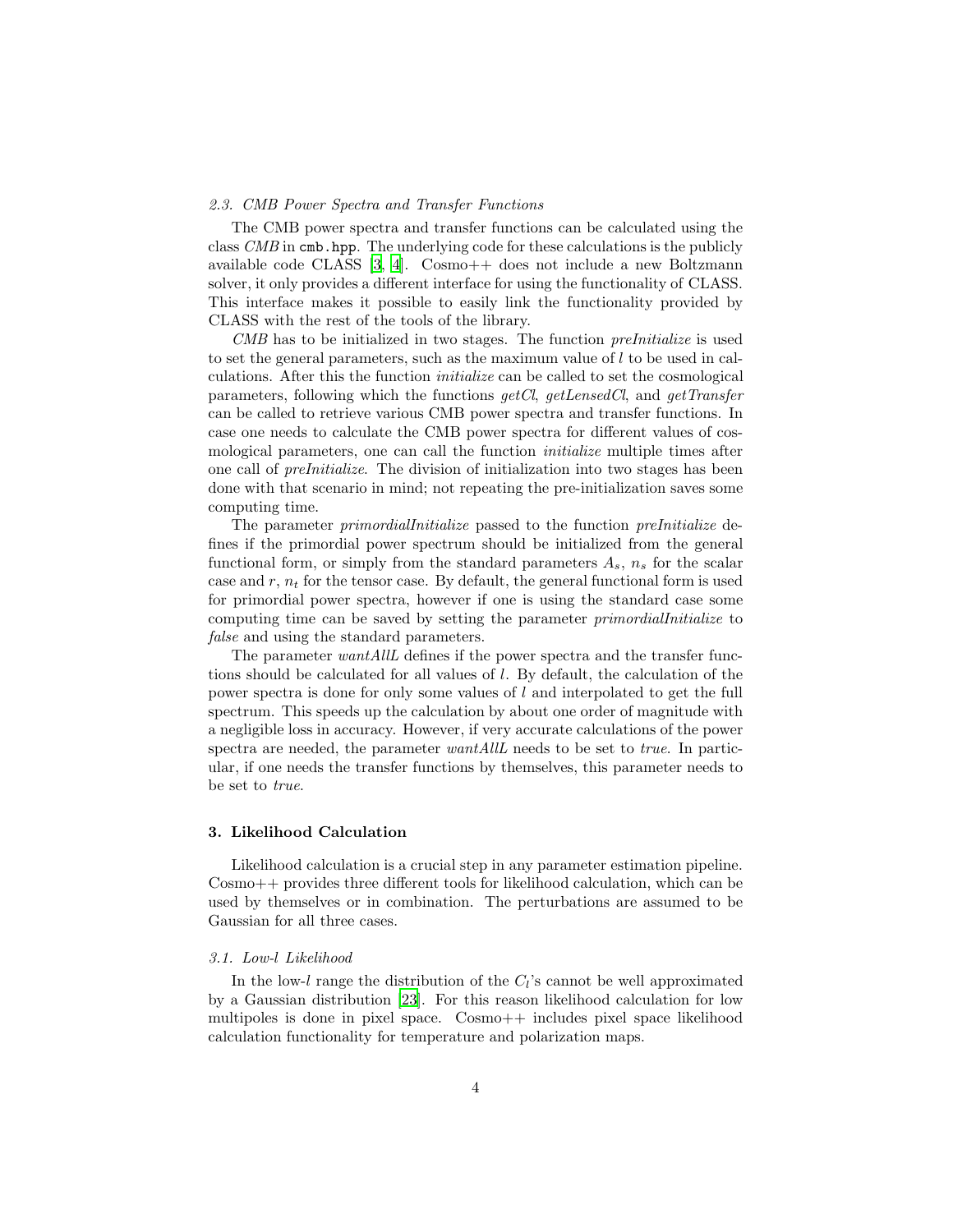## *2.3. CMB Power Spectra and Transfer Functions*

The CMB power spectra and transfer functions can be calculated using the class *CMB* in cmb.hpp. The underlying code for these calculations is the publicly available code CLASS [\[3,](#page-23-2) [4](#page-23-3)]. Cosmo++ does not include a new Boltzmann solver, it only provides a different interface for using the functionality of CLASS. This interface makes it possible to easily link the functionality provided by CLASS with the rest of the tools of the library.

*CMB* has to be initialized in two stages. The function *preInitialize* is used to set the general parameters, such as the maximum value of l to be used in calculations. After this the function *initialize* can be called to set the cosmological parameters, following which the functions *getCl*, *getLensedCl*, and *getTransfer* can be called to retrieve various CMB power spectra and transfer functions. In case one needs to calculate the CMB power spectra for different values of cosmological parameters, one can call the function *initialize* multiple times after one call of *preInitialize*. The division of initialization into two stages has been done with that scenario in mind; not repeating the pre-initialization saves some computing time.

The parameter *primordialInitialize* passed to the function *preInitialize* defines if the primordial power spectrum should be initialized from the general functional form, or simply from the standard parameters  $A_s$ ,  $n_s$  for the scalar case and  $r$ ,  $n_t$  for the tensor case. By default, the general functional form is used for primordial power spectra, however if one is using the standard case some computing time can be saved by setting the parameter *primordialInitialize* to *false* and using the standard parameters.

The parameter *wantAllL* defines if the power spectra and the transfer functions should be calculated for all values of l. By default, the calculation of the power spectra is done for only some values of l and interpolated to get the full spectrum. This speeds up the calculation by about one order of magnitude with a negligible loss in accuracy. However, if very accurate calculations of the power spectra are needed, the parameter *wantAllL* needs to be set to *true*. In particular, if one needs the transfer functions by themselves, this parameter needs to be set to *true*.

#### <span id="page-3-0"></span>3. Likelihood Calculation

Likelihood calculation is a crucial step in any parameter estimation pipeline. Cosmo++ provides three different tools for likelihood calculation, which can be used by themselves or in combination. The perturbations are assumed to be Gaussian for all three cases.

## *3.1. Low-*l *Likelihood*

In the low-l range the distribution of the  $C_l$ 's cannot be well approximated by a Gaussian distribution [\[23](#page-24-10)]. For this reason likelihood calculation for low multipoles is done in pixel space. Cosmo++ includes pixel space likelihood calculation functionality for temperature and polarization maps.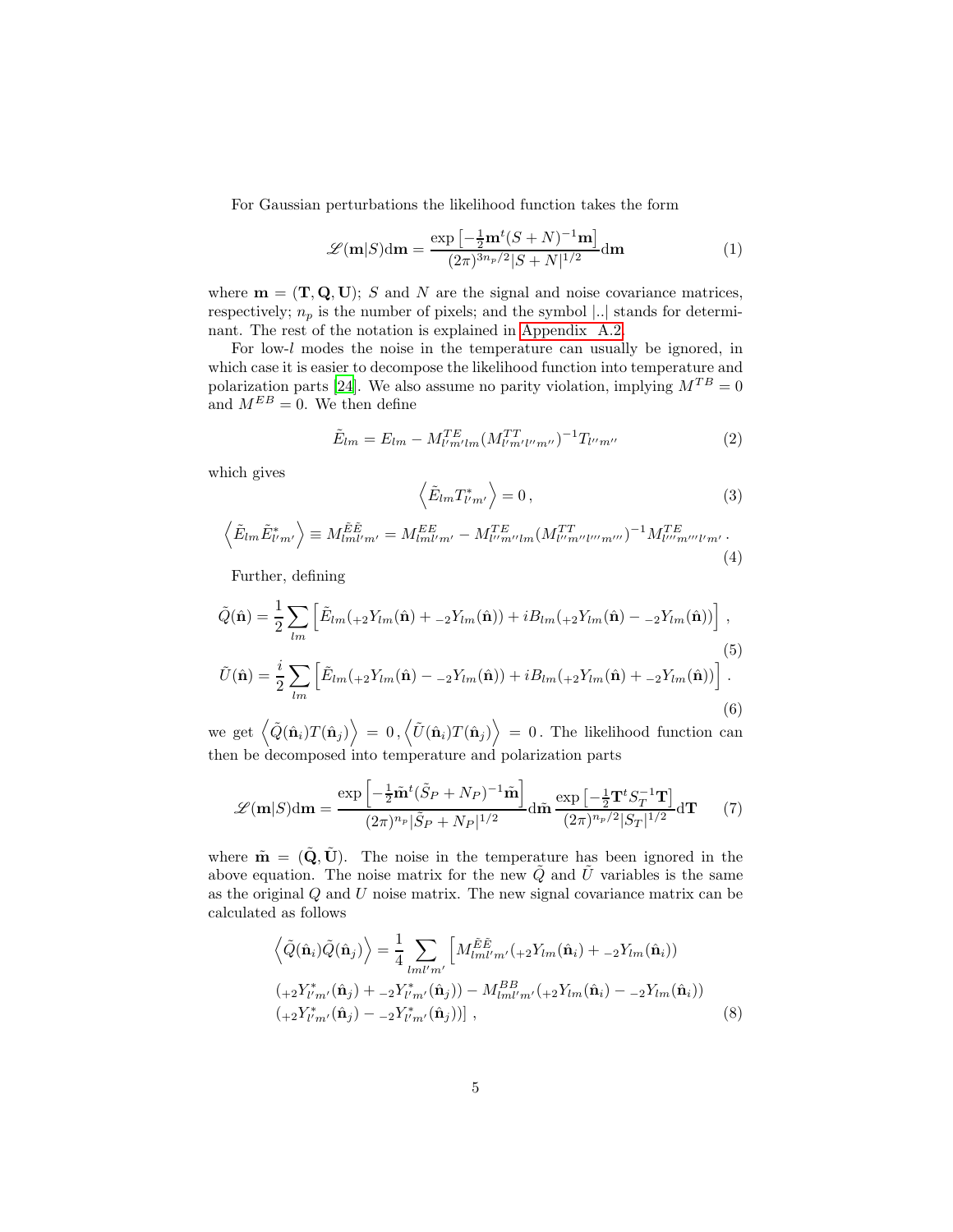For Gaussian perturbations the likelihood function takes the form

$$
\mathcal{L}(\mathbf{m}|S)\mathrm{d}\mathbf{m} = \frac{\exp\left[-\frac{1}{2}\mathbf{m}^t(S+N)^{-1}\mathbf{m}\right]}{(2\pi)^{3n_p/2}|S+N|^{1/2}}\mathrm{d}\mathbf{m}
$$
(1)

where  $\mathbf{m} = (\mathbf{T}, \mathbf{Q}, \mathbf{U}); S$  and N are the signal and noise covariance matrices, respectively;  $n_p$  is the number of pixels; and the symbol |..| stands for determinant. The rest of the notation is explained in [Appendix A.2.](#page-21-0)

For low-l modes the noise in the temperature can usually be ignored, in which case it is easier to decompose the likelihood function into temperature and polarization parts [\[24\]](#page-24-11). We also assume no parity violation, implying  $M^{TB} = 0$ and  $M^{EB} = 0$ . We then define

<span id="page-4-1"></span>
$$
\tilde{E}_{lm} = E_{lm} - M_{l'm'lm}^{TE} (M_{l'm'l'm''}^{TT})^{-1} T_{l''m''}
$$
\n(2)

which gives

$$
\left\langle \tilde{E}_{lm} T_{l'm'}^* \right\rangle = 0, \qquad (3)
$$

<span id="page-4-0"></span>
$$
\left\langle \tilde{E}_{lm} \tilde{E}_{l'm'}^* \right\rangle \equiv M_{lml'm'}^{\tilde{E}\tilde{E}} = M_{lml'm'}^{EE} - M_{l''m''lm}^{TE} (M_{l''m''l''m'''}^{TT})^{-1} M_{l''m''l'm''l'm'}^{TE}.
$$
\n(4)

Further, defining

$$
\tilde{Q}(\hat{\mathbf{n}}) = \frac{1}{2} \sum_{lm} \left[ \tilde{E}_{lm}(+2Y_{lm}(\hat{\mathbf{n}}) + -2Y_{lm}(\hat{\mathbf{n}})) + iB_{lm}(+2Y_{lm}(\hat{\mathbf{n}}) - -2Y_{lm}(\hat{\mathbf{n}})) \right],
$$
\n
$$
\tilde{U}(\hat{\mathbf{n}}) = \frac{i}{2} \sum_{lm} \left[ \tilde{E}_{lm}(+2Y_{lm}(\hat{\mathbf{n}}) - -2Y_{lm}(\hat{\mathbf{n}})) + iB_{lm}(+2Y_{lm}(\hat{\mathbf{n}}) + -2Y_{lm}(\hat{\mathbf{n}})) \right].
$$
\n(6)

we get  $\langle \tilde{Q}(\hat{\mathbf{n}}_i)T(\hat{\mathbf{n}}_j)\rangle = 0, \langle \tilde{U}(\hat{\mathbf{n}}_i)T(\hat{\mathbf{n}}_j)\rangle = 0$ . The likelihood function can then be decomposed into temperature and polarization parts

$$
\mathcal{L}(\mathbf{m}|S)\mathrm{d}\mathbf{m} = \frac{\exp\left[-\frac{1}{2}\tilde{\mathbf{m}}^t(\tilde{S}_P + N_P)^{-1}\tilde{\mathbf{m}}\right]}{(2\pi)^{n_p}|\tilde{S}_P + N_P|^{1/2}}\mathrm{d}\tilde{\mathbf{m}}\,\frac{\exp\left[-\frac{1}{2}\mathbf{T}^tS_T^{-1}\mathbf{T}\right]}{(2\pi)^{n_p/2}|S_T|^{1/2}}\mathrm{d}\mathbf{T}
$$
 (7)

where  $\tilde{\mathbf{m}} = (\tilde{\mathbf{Q}}, \tilde{\mathbf{U}})$ . The noise in the temperature has been ignored in the above equation. The noise matrix for the new  $\tilde{Q}$  and  $\tilde{U}$  variables is the same as the original Q and U noise matrix. The new signal covariance matrix can be calculated as follows

$$
\left\langle \tilde{Q}(\hat{\mathbf{n}}_{i})\tilde{Q}(\hat{\mathbf{n}}_{j}) \right\rangle = \frac{1}{4} \sum_{lml'm'} \left[ M_{lml'm'}^{\tilde{E}\tilde{E}} (4\pi)^{l} + 2Y_{l'm}(\hat{\mathbf{n}}_{i}) + 2Y_{l'm}(\hat{\mathbf{n}}_{i}) \right]
$$
\n
$$
+ 2Y_{l'm'}^{\ast}(\hat{\mathbf{n}}_{j}) + 2Y_{l'm'}^{\ast}(\hat{\mathbf{n}}_{j})) - M_{lml'm'}^{\text{BB}}(4\pi)^{l} + 2Y_{l'm}(\hat{\mathbf{n}}_{i}) - 2Y_{l'm}(\hat{\mathbf{n}}_{i}))
$$
\n
$$
+ 2Y_{l'm'}^{\ast}(\hat{\mathbf{n}}_{j}) - 2Y_{l'm'}^{\ast}(\hat{\mathbf{n}}_{j})) \right], \tag{8}
$$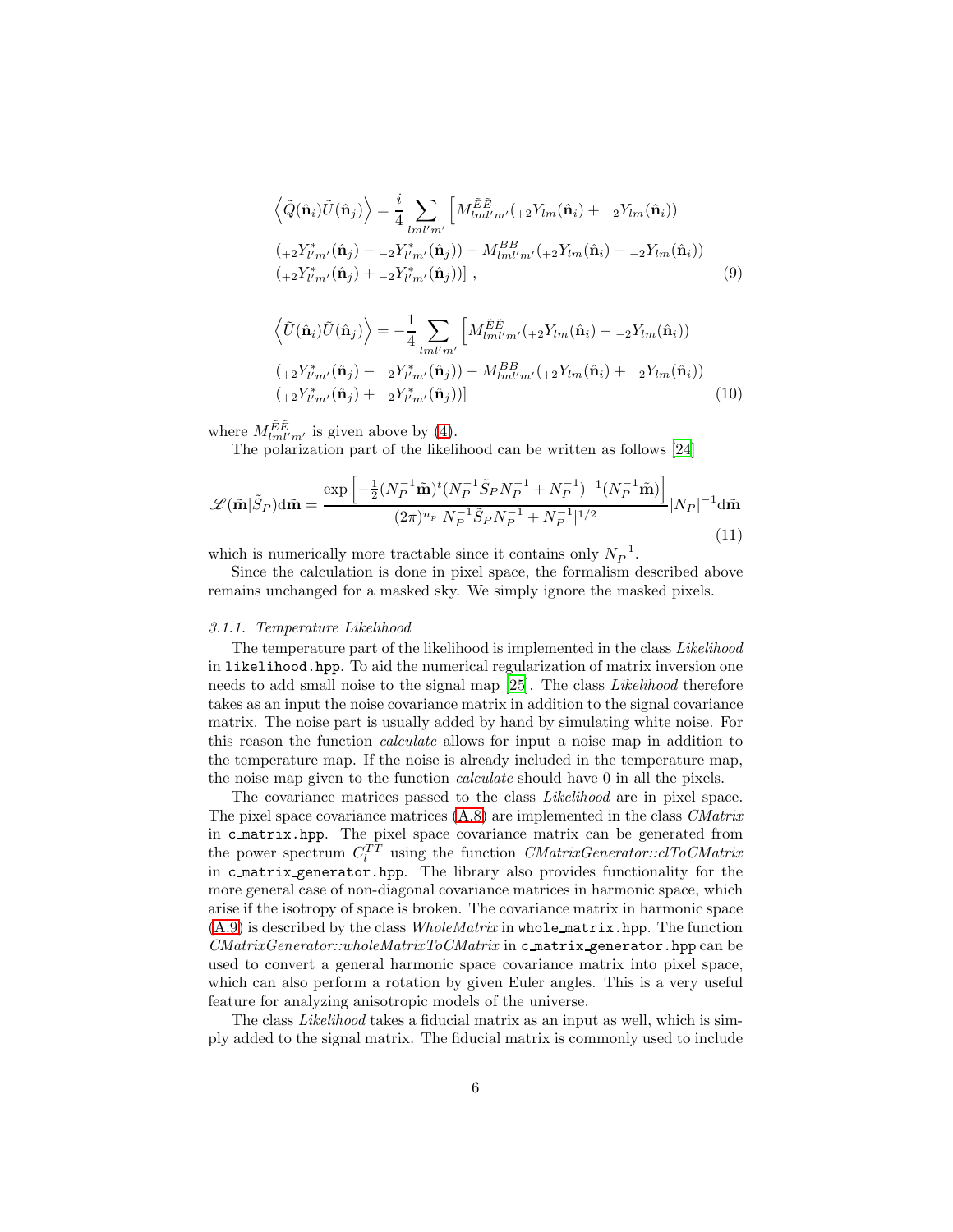$$
\left\langle \tilde{Q}(\hat{\mathbf{n}}_{i})\tilde{U}(\hat{\mathbf{n}}_{j}) \right\rangle = \frac{i}{4} \sum_{lml'm'} \left[ M_{lml'm'}^{\tilde{E}\tilde{E}} (4\pi)^{l} + 2Y_{lm}(\hat{\mathbf{n}}_{i}) + 2Y_{lm}(\hat{\mathbf{n}}_{i}) \right]
$$
\n
$$
+ 2Y_{l'm'}^{\ast}(\hat{\mathbf{n}}_{j}) - 2Y_{l'm'}^{\ast}(\hat{\mathbf{n}}_{j})) - M_{lml'm'}^{\text{BB}} (4\pi)^{l} + 2Y_{lm}(\hat{\mathbf{n}}_{i}) - 2Y_{lm}(\hat{\mathbf{n}}_{i}))
$$
\n
$$
+ 2Y_{l'm'}(\hat{\mathbf{n}}_{j}) + 2Y_{l'm'}(\hat{\mathbf{n}}_{j})) \right], \tag{9}
$$

$$
\langle \tilde{U}(\hat{\mathbf{n}}_i)\tilde{U}(\hat{\mathbf{n}}_j)\rangle = -\frac{1}{4} \sum_{lml'm'} \left[M_{lml'm'}^{\tilde{E}\tilde{E}}(4\pi)^{-2}Y_{l m}(\hat{\mathbf{n}}_i) - 2Y_{l m}(\hat{\mathbf{n}}_i)\right)
$$
  

$$
(+2Y_{l'm'}^*(\hat{\mathbf{n}}_j) - 2Y_{l'm'}^*(\hat{\mathbf{n}}_j)) - M_{lml'm'}^{BB}(4\pi)^{-1}(Y_{l m}(\hat{\mathbf{n}}_i) + 2Y_{l m}(\hat{\mathbf{n}}_i))
$$
  

$$
(+2Y_{l'm'}^*(\hat{\mathbf{n}}_j) + 2Y_{l'm'}^*(\hat{\mathbf{n}}_j))\right]
$$
(10)

where  $M_{lml'm'}^{\tilde{E}\tilde{E}}$  is given above by [\(4\)](#page-4-0).

The polarization part of the likelihood can be written as follows [\[24](#page-24-11)]

<span id="page-5-0"></span>
$$
\mathcal{L}(\tilde{\mathbf{m}}|\tilde{S}_P)\mathrm{d}\tilde{\mathbf{m}} = \frac{\exp\left[-\frac{1}{2}(N_P^{-1}\tilde{\mathbf{m}})^t (N_P^{-1}\tilde{S}_P N_P^{-1} + N_P^{-1})^{-1} (N_P^{-1}\tilde{\mathbf{m}})\right]}{(2\pi)^{n_p} |N_P^{-1}\tilde{S}_P N_P^{-1} + N_P^{-1}|^{1/2}} |N_P|^{-1} \mathrm{d}\tilde{\mathbf{m}} \tag{11}
$$

which is numerically more tractable since it contains only  $N_P^{-1}$ .

Since the calculation is done in pixel space, the formalism described above remains unchanged for a masked sky. We simply ignore the masked pixels.

#### *3.1.1. Temperature Likelihood*

The temperature part of the likelihood is implemented in the class *Likelihood* in likelihood.hpp. To aid the numerical regularization of matrix inversion one needs to add small noise to the signal map [\[25\]](#page-24-12). The class *Likelihood* therefore takes as an input the noise covariance matrix in addition to the signal covariance matrix. The noise part is usually added by hand by simulating white noise. For this reason the function *calculate* allows for input a noise map in addition to the temperature map. If the noise is already included in the temperature map, the noise map given to the function *calculate* should have 0 in all the pixels.

The covariance matrices passed to the class *Likelihood* are in pixel space. The pixel space covariance matrices [\(A.8\)](#page-21-1) are implemented in the class *CMatrix* in c matrix.hpp. The pixel space covariance matrix can be generated from the power spectrum  $C_l^{TT}$  using the function  $\text{CMatrixGenerator::clToCMatrix}$ in c matrix generator.hpp. The library also provides functionality for the more general case of non-diagonal covariance matrices in harmonic space, which arise if the isotropy of space is broken. The covariance matrix in harmonic space [\(A.9\)](#page-21-2) is described by the class *WholeMatrix* in whole matrix.hpp. The function *CMatrixGenerator::wholeMatrixToCMatrix* in c matrix generator.hpp can be used to convert a general harmonic space covariance matrix into pixel space, which can also perform a rotation by given Euler angles. This is a very useful feature for analyzing anisotropic models of the universe.

The class *Likelihood* takes a fiducial matrix as an input as well, which is simply added to the signal matrix. The fiducial matrix is commonly used to include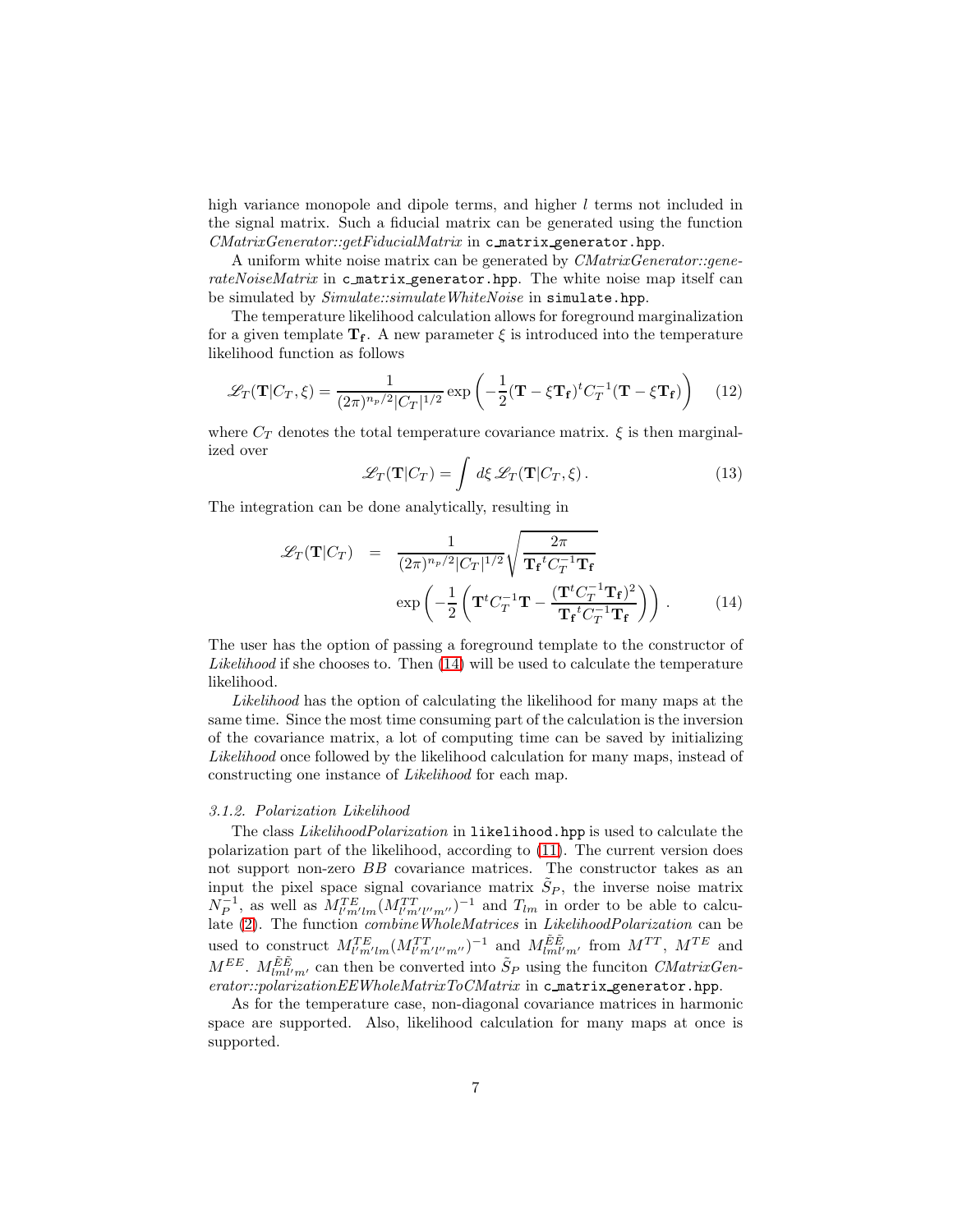high variance monopole and dipole terms, and higher l terms not included in the signal matrix. Such a fiducial matrix can be generated using the function *CMatrixGenerator::getFiducialMatrix* in c matrix generator.hpp.

A uniform white noise matrix can be generated by *CMatrixGenerator::gene*rateNoiseMatrix in c\_matrix\_generator.hpp. The white noise map itself can be simulated by *Simulate::simulateWhiteNoise* in simulate.hpp.

The temperature likelihood calculation allows for foreground marginalization for a given template  $T_f$ . A new parameter  $\xi$  is introduced into the temperature likelihood function as follows

$$
\mathcal{L}_T(\mathbf{T}|C_T,\xi) = \frac{1}{(2\pi)^{n_p/2}|C_T|^{1/2}} \exp\left(-\frac{1}{2}(\mathbf{T}-\xi\mathbf{T_f})^t C_T^{-1}(\mathbf{T}-\xi\mathbf{T_f})\right) \tag{12}
$$

where  $C_T$  denotes the total temperature covariance matrix.  $\xi$  is then marginalized over

$$
\mathcal{L}_T(\mathbf{T}|C_T) = \int d\xi \mathcal{L}_T(\mathbf{T}|C_T, \xi).
$$
 (13)

The integration can be done analytically, resulting in

<span id="page-6-0"></span>
$$
\mathcal{L}_T(\mathbf{T}|C_T) = \frac{1}{(2\pi)^{n_p/2} |C_T|^{1/2}} \sqrt{\frac{2\pi}{\mathbf{T_f}^t C_T^{-1} \mathbf{T_f}}} \exp\left(-\frac{1}{2} \left(\mathbf{T}^t C_T^{-1} \mathbf{T} - \frac{(\mathbf{T}^t C_T^{-1} \mathbf{T_f})^2}{\mathbf{T_f}^t C_T^{-1} \mathbf{T_f}}\right)\right).
$$
(14)

The user has the option of passing a foreground template to the constructor of *Likelihood* if she chooses to. Then [\(14\)](#page-6-0) will be used to calculate the temperature likelihood.

*Likelihood* has the option of calculating the likelihood for many maps at the same time. Since the most time consuming part of the calculation is the inversion of the covariance matrix, a lot of computing time can be saved by initializing *Likelihood* once followed by the likelihood calculation for many maps, instead of constructing one instance of *Likelihood* for each map.

#### *3.1.2. Polarization Likelihood*

The class *LikelihoodPolarization* in likelihood.hpp is used to calculate the polarization part of the likelihood, according to [\(11\)](#page-5-0). The current version does not support non-zero BB covariance matrices. The constructor takes as an input the pixel space signal covariance matrix  $\tilde{S}_P$ , the inverse noise matrix  $N_P^{-1}$ , as well as  $M_{l'm'l'm'}^{TE}$  $(M_{l'm'l'm''}^{TT})^{-1}$  and  $T_{lm}$  in order to be able to calculate [\(2\)](#page-4-1). The function *combineWholeMatrices* in *LikelihoodPolarization* can be used to construct  $M_{l'm'lm}^{TE}(M_{l'm'l'm''}^{TT})^{-1}$  and  $M_{lml'm'}^{\tilde{E}\tilde{E}}$  from  $M^{TT}$ ,  $M^{TE}$  and  $M^{EE}$ .  $M_{lml'm'}^{\tilde{E}\tilde{E}}$  can then be converted into  $\tilde{S}_P$  using the funciton *CMatrixGenerator::polarizationEEWholeMatrixToCMatrix* in c matrix generator.hpp.

As for the temperature case, non-diagonal covariance matrices in harmonic space are supported. Also, likelihood calculation for many maps at once is supported.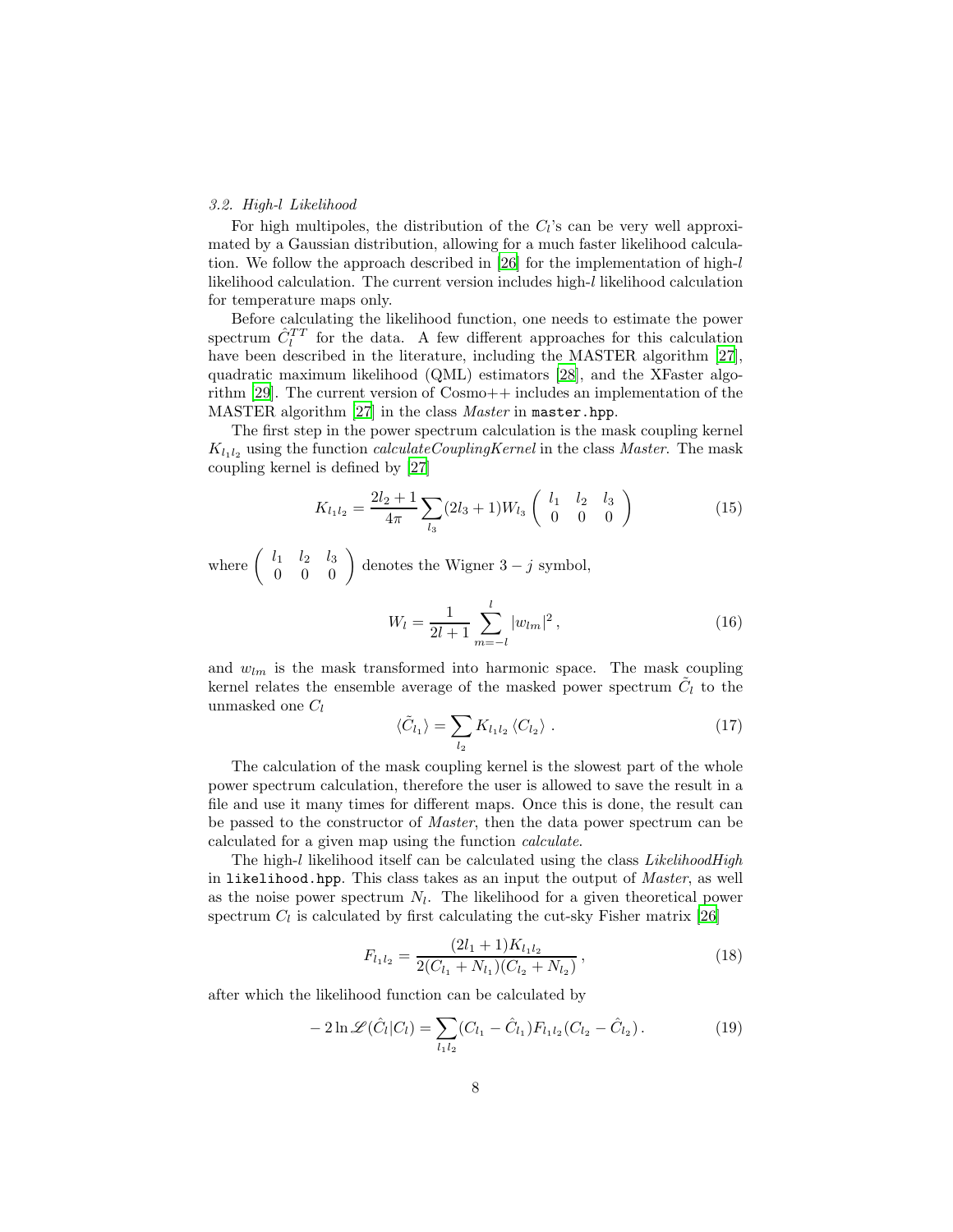# *3.2. High-*l *Likelihood*

For high multipoles, the distribution of the  $C_l$ 's can be very well approximated by a Gaussian distribution, allowing for a much faster likelihood calcula-tion. We follow the approach described in [\[26\]](#page-25-0) for the implementation of high- $l$ likelihood calculation. The current version includes high-l likelihood calculation for temperature maps only.

Before calculating the likelihood function, one needs to estimate the power spectrum  $\hat{C}_l^{TT}$  for the data. A few different approaches for this calculation have been described in the literature, including the MASTER algorithm [\[27\]](#page-25-1), quadratic maximum likelihood (QML) estimators [\[28\]](#page-25-2), and the XFaster algorithm [\[29\]](#page-25-3). The current version of Cosmo++ includes an implementation of the MASTER algorithm [\[27\]](#page-25-1) in the class *Master* in master.hpp.

The first step in the power spectrum calculation is the mask coupling kernel  $K_{l_1l_2}$  using the function *calculateCouplingKernel* in the class *Master*. The mask coupling kernel is defined by [\[27\]](#page-25-1)

<span id="page-7-0"></span>
$$
K_{l_1l_2} = \frac{2l_2 + 1}{4\pi} \sum_{l_3} (2l_3 + 1) W_{l_3} \begin{pmatrix} l_1 & l_2 & l_3 \\ 0 & 0 & 0 \end{pmatrix}
$$
 (15)

where  $\begin{pmatrix} l_1 & l_2 & l_3 \\ 0 & 0 & 0 \end{pmatrix}$  denotes the Wigner 3 – j symbol,

$$
W_l = \frac{1}{2l+1} \sum_{m=-l}^{l} |w_{lm}|^2, \qquad (16)
$$

and  $w_{lm}$  is the mask transformed into harmonic space. The mask coupling kernel relates the ensemble average of the masked power spectrum  $\tilde{C}_l$  to the unmasked one  $C_l$ 

$$
\langle \tilde{C}_{l_1} \rangle = \sum_{l_2} K_{l_1 l_2} \langle C_{l_2} \rangle . \tag{17}
$$

The calculation of the mask coupling kernel is the slowest part of the whole power spectrum calculation, therefore the user is allowed to save the result in a file and use it many times for different maps. Once this is done, the result can be passed to the constructor of *Master*, then the data power spectrum can be calculated for a given map using the function *calculate*.

The high-l likelihood itself can be calculated using the class *LikelihoodHigh* in likelihood.hpp. This class takes as an input the output of *Master*, as well as the noise power spectrum  $N_l$ . The likelihood for a given theoretical power spectrum  $C_l$  is calculated by first calculating the cut-sky Fisher matrix [\[26](#page-25-0)]

$$
F_{l_1l_2} = \frac{(2l_1 + 1)K_{l_1l_2}}{2(C_{l_1} + N_{l_1})(C_{l_2} + N_{l_2})},
$$
\n(18)

after which the likelihood function can be calculated by

$$
-2\ln\mathcal{L}(\hat{C}_l|C_l) = \sum_{l_1l_2} (C_{l_1} - \hat{C}_{l_1})F_{l_1l_2}(C_{l_2} - \hat{C}_{l_2}).
$$
\n(19)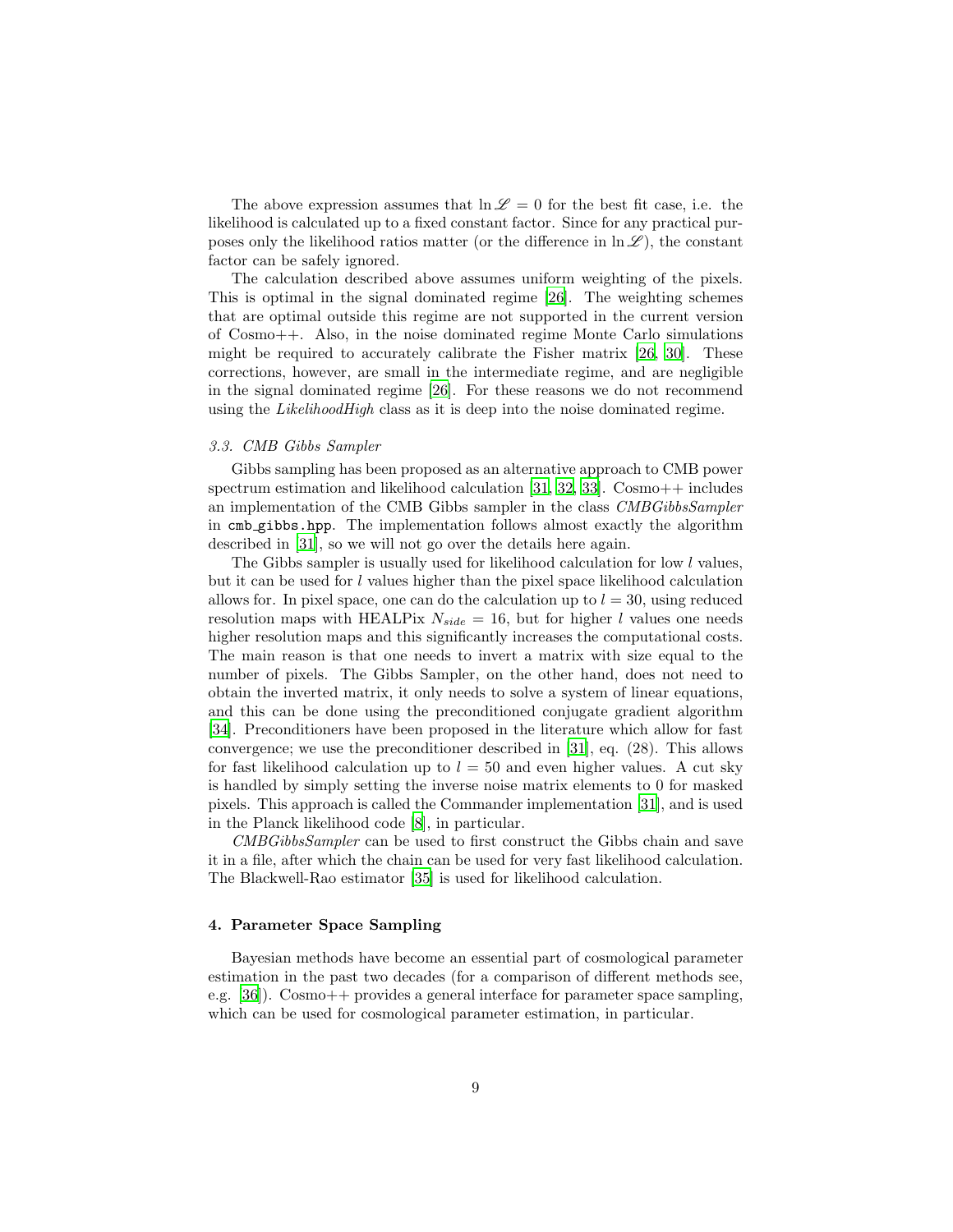The above expression assumes that  $\ln \mathscr{L} = 0$  for the best fit case, i.e. the likelihood is calculated up to a fixed constant factor. Since for any practical purposes only the likelihood ratios matter (or the difference in  $\ln \mathscr{L}$ ), the constant factor can be safely ignored.

The calculation described above assumes uniform weighting of the pixels. This is optimal in the signal dominated regime [\[26\]](#page-25-0). The weighting schemes that are optimal outside this regime are not supported in the current version of Cosmo++. Also, in the noise dominated regime Monte Carlo simulations might be required to accurately calibrate the Fisher matrix [\[26,](#page-25-0) [30\]](#page-25-4). These corrections, however, are small in the intermediate regime, and are negligible in the signal dominated regime [\[26\]](#page-25-0). For these reasons we do not recommend using the *LikelihoodHigh* class as it is deep into the noise dominated regime.

#### *3.3. CMB Gibbs Sampler*

Gibbs sampling has been proposed as an alternative approach to CMB power spectrum estimation and likelihood calculation [\[31,](#page-25-5) [32](#page-25-6), [33](#page-25-7)]. Cosmo++ includes an implementation of the CMB Gibbs sampler in the class *CMBGibbsSampler* in cmb gibbs.hpp. The implementation follows almost exactly the algorithm described in [\[31](#page-25-5)], so we will not go over the details here again.

The Gibbs sampler is usually used for likelihood calculation for low l values, but it can be used for l values higher than the pixel space likelihood calculation allows for. In pixel space, one can do the calculation up to  $l = 30$ , using reduced resolution maps with HEALPix  $N_{side} = 16$ , but for higher l values one needs higher resolution maps and this significantly increases the computational costs. The main reason is that one needs to invert a matrix with size equal to the number of pixels. The Gibbs Sampler, on the other hand, does not need to obtain the inverted matrix, it only needs to solve a system of linear equations, and this can be done using the preconditioned conjugate gradient algorithm [\[34\]](#page-25-8). Preconditioners have been proposed in the literature which allow for fast convergence; we use the preconditioner described in [\[31](#page-25-5)], eq. (28). This allows for fast likelihood calculation up to  $l = 50$  and even higher values. A cut sky is handled by simply setting the inverse noise matrix elements to 0 for masked pixels. This approach is called the Commander implementation [\[31\]](#page-25-5), and is used in the Planck likelihood code [\[8](#page-23-7)], in particular.

*CMBGibbsSampler* can be used to first construct the Gibbs chain and save it in a file, after which the chain can be used for very fast likelihood calculation. The Blackwell-Rao estimator [\[35](#page-25-9)] is used for likelihood calculation.

# <span id="page-8-0"></span>4. Parameter Space Sampling

Bayesian methods have become an essential part of cosmological parameter estimation in the past two decades (for a comparison of different methods see, e.g. [\[36\]](#page-26-0)). Cosmo++ provides a general interface for parameter space sampling, which can be used for cosmological parameter estimation, in particular.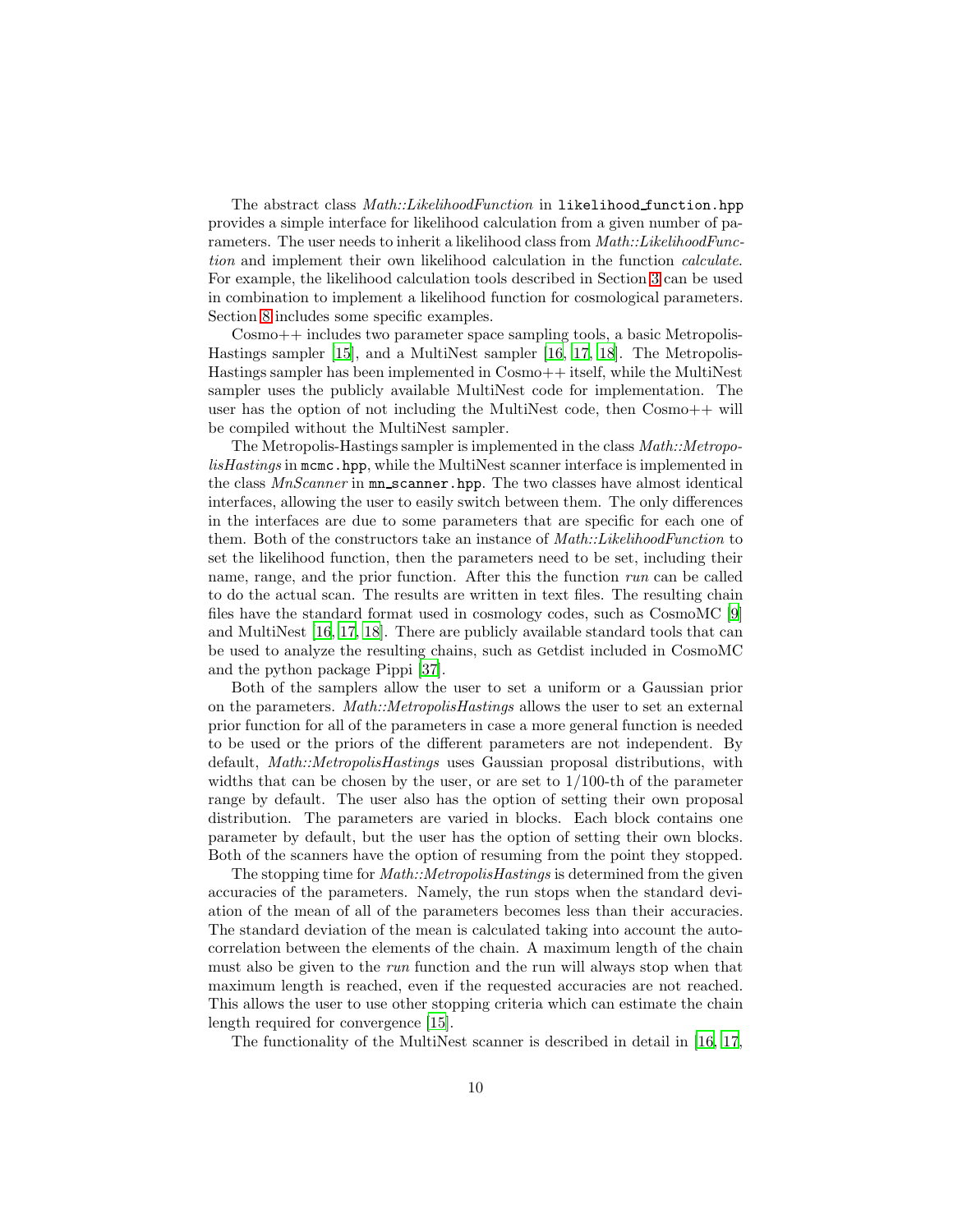The abstract class *Math::LikelihoodFunction* in likelihood function.hpp provides a simple interface for likelihood calculation from a given number of parameters. The user needs to inherit a likelihood class from *Math::LikelihoodFunction* and implement their own likelihood calculation in the function *calculate*. For example, the likelihood calculation tools described in Section [3](#page-3-0) can be used in combination to implement a likelihood function for cosmological parameters. Section [8](#page-13-0) includes some specific examples.

Cosmo++ includes two parameter space sampling tools, a basic Metropolis-Hastings sampler [\[15\]](#page-24-2), and a MultiNest sampler [\[16,](#page-24-3) [17,](#page-24-4) [18](#page-24-5)]. The Metropolis-Hastings sampler has been implemented in Cosmo++ itself, while the MultiNest sampler uses the publicly available MultiNest code for implementation. The user has the option of not including the MultiNest code, then Cosmo++ will be compiled without the MultiNest sampler.

The Metropolis-Hastings sampler is implemented in the class *Math::MetropolisHastings* in mcmc.hpp, while the MultiNest scanner interface is implemented in the class *MnScanner* in mn scanner.hpp. The two classes have almost identical interfaces, allowing the user to easily switch between them. The only differences in the interfaces are due to some parameters that are specific for each one of them. Both of the constructors take an instance of *Math::LikelihoodFunction* to set the likelihood function, then the parameters need to be set, including their name, range, and the prior function. After this the function *run* can be called to do the actual scan. The results are written in text files. The resulting chain files have the standard format used in cosmology codes, such as CosmoMC [\[9\]](#page-23-8) and MultiNest [\[16,](#page-24-3) [17,](#page-24-4) [18](#page-24-5)]. There are publicly available standard tools that can be used to analyze the resulting chains, such as getdist included in CosmoMC and the python package Pippi [\[37](#page-26-1)].

Both of the samplers allow the user to set a uniform or a Gaussian prior on the parameters. *Math::MetropolisHastings* allows the user to set an external prior function for all of the parameters in case a more general function is needed to be used or the priors of the different parameters are not independent. By default, *Math::MetropolisHastings* uses Gaussian proposal distributions, with widths that can be chosen by the user, or are set to  $1/100$ -th of the parameter range by default. The user also has the option of setting their own proposal distribution. The parameters are varied in blocks. Each block contains one parameter by default, but the user has the option of setting their own blocks. Both of the scanners have the option of resuming from the point they stopped.

The stopping time for *Math::MetropolisHastings* is determined from the given accuracies of the parameters. Namely, the run stops when the standard deviation of the mean of all of the parameters becomes less than their accuracies. The standard deviation of the mean is calculated taking into account the autocorrelation between the elements of the chain. A maximum length of the chain must also be given to the *run* function and the run will always stop when that maximum length is reached, even if the requested accuracies are not reached. This allows the user to use other stopping criteria which can estimate the chain length required for convergence [\[15](#page-24-2)].

The functionality of the MultiNest scanner is described in detail in [\[16,](#page-24-3) [17,](#page-24-4)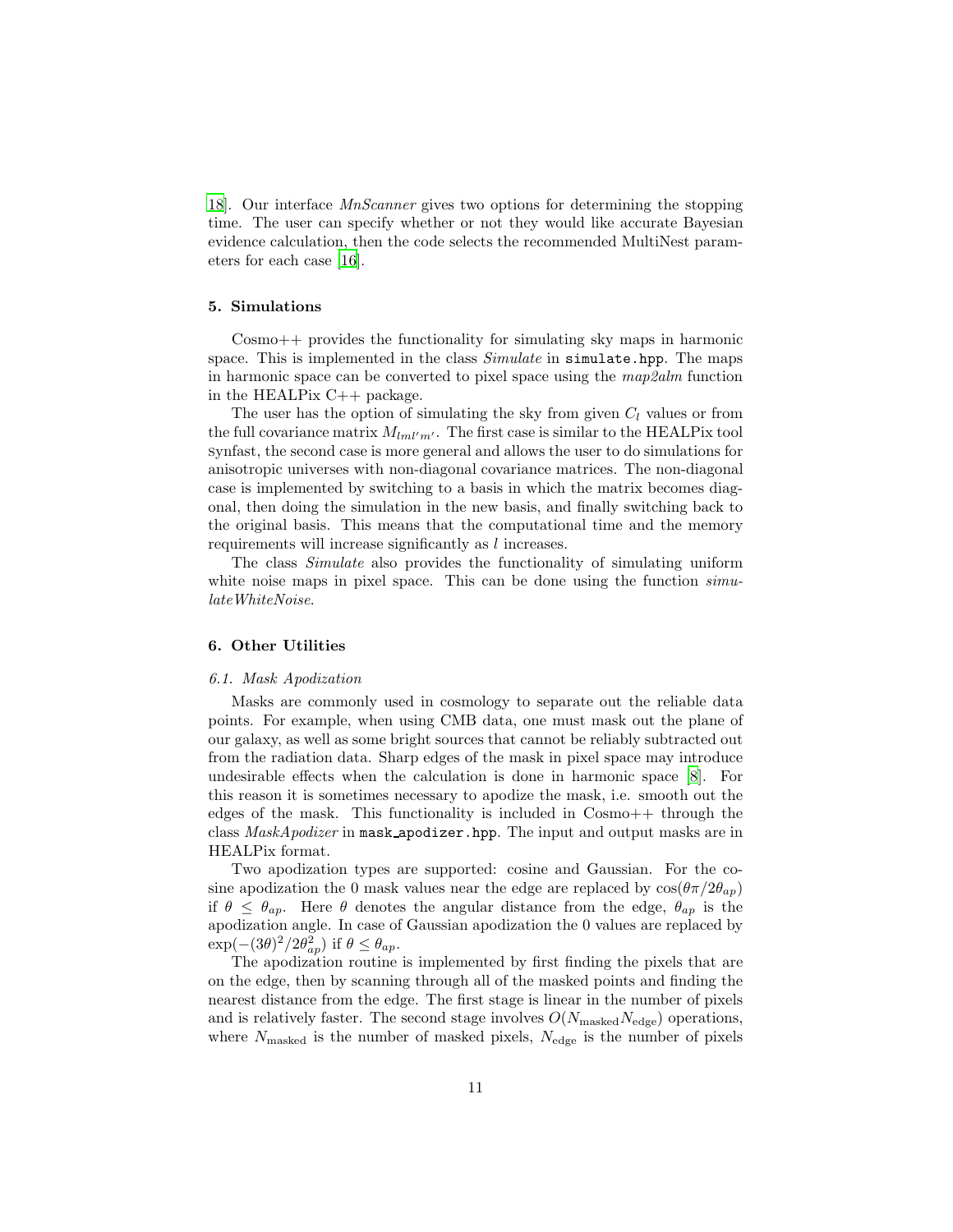[18\]](#page-24-5). Our interface *MnScanner* gives two options for determining the stopping time. The user can specify whether or not they would like accurate Bayesian evidence calculation, then the code selects the recommended MultiNest parameters for each case [\[16](#page-24-3)].

# 5. Simulations

Cosmo++ provides the functionality for simulating sky maps in harmonic space. This is implemented in the class *Simulate* in simulate.hpp. The maps in harmonic space can be converted to pixel space using the *map2alm* function in the HEALPix C++ package.

The user has the option of simulating the sky from given  $C_l$  values or from the full covariance matrix  $M_{lml'm'}$ . The first case is similar to the HEALPix tool synfast, the second case is more general and allows the user to do simulations for anisotropic universes with non-diagonal covariance matrices. The non-diagonal case is implemented by switching to a basis in which the matrix becomes diagonal, then doing the simulation in the new basis, and finally switching back to the original basis. This means that the computational time and the memory requirements will increase significantly as l increases.

The class *Simulate* also provides the functionality of simulating uniform white noise maps in pixel space. This can be done using the function *simulateWhiteNoise*.

#### <span id="page-10-0"></span>6. Other Utilities

#### *6.1. Mask Apodization*

Masks are commonly used in cosmology to separate out the reliable data points. For example, when using CMB data, one must mask out the plane of our galaxy, as well as some bright sources that cannot be reliably subtracted out from the radiation data. Sharp edges of the mask in pixel space may introduce undesirable effects when the calculation is done in harmonic space [\[8\]](#page-23-7). For this reason it is sometimes necessary to apodize the mask, i.e. smooth out the edges of the mask. This functionality is included in Cosmo++ through the class *MaskApodizer* in mask apodizer.hpp. The input and output masks are in HEALPix format.

Two apodization types are supported: cosine and Gaussian. For the cosine apodization the 0 mask values near the edge are replaced by  $cos(\theta \pi/2\theta_{ap})$ if  $\theta \leq \theta_{ap}$ . Here  $\theta$  denotes the angular distance from the edge,  $\theta_{ap}$  is the apodization angle. In case of Gaussian apodization the 0 values are replaced by  $\exp(-(3\theta)^2/2\theta_{ap}^2)$  if  $\theta \leq \theta_{ap}$ .

The apodization routine is implemented by first finding the pixels that are on the edge, then by scanning through all of the masked points and finding the nearest distance from the edge. The first stage is linear in the number of pixels and is relatively faster. The second stage involves  $O(N_{\text{masked}}N_{\text{edge}})$  operations, where  $N_{\text{masked}}$  is the number of masked pixels,  $N_{\text{edge}}$  is the number of pixels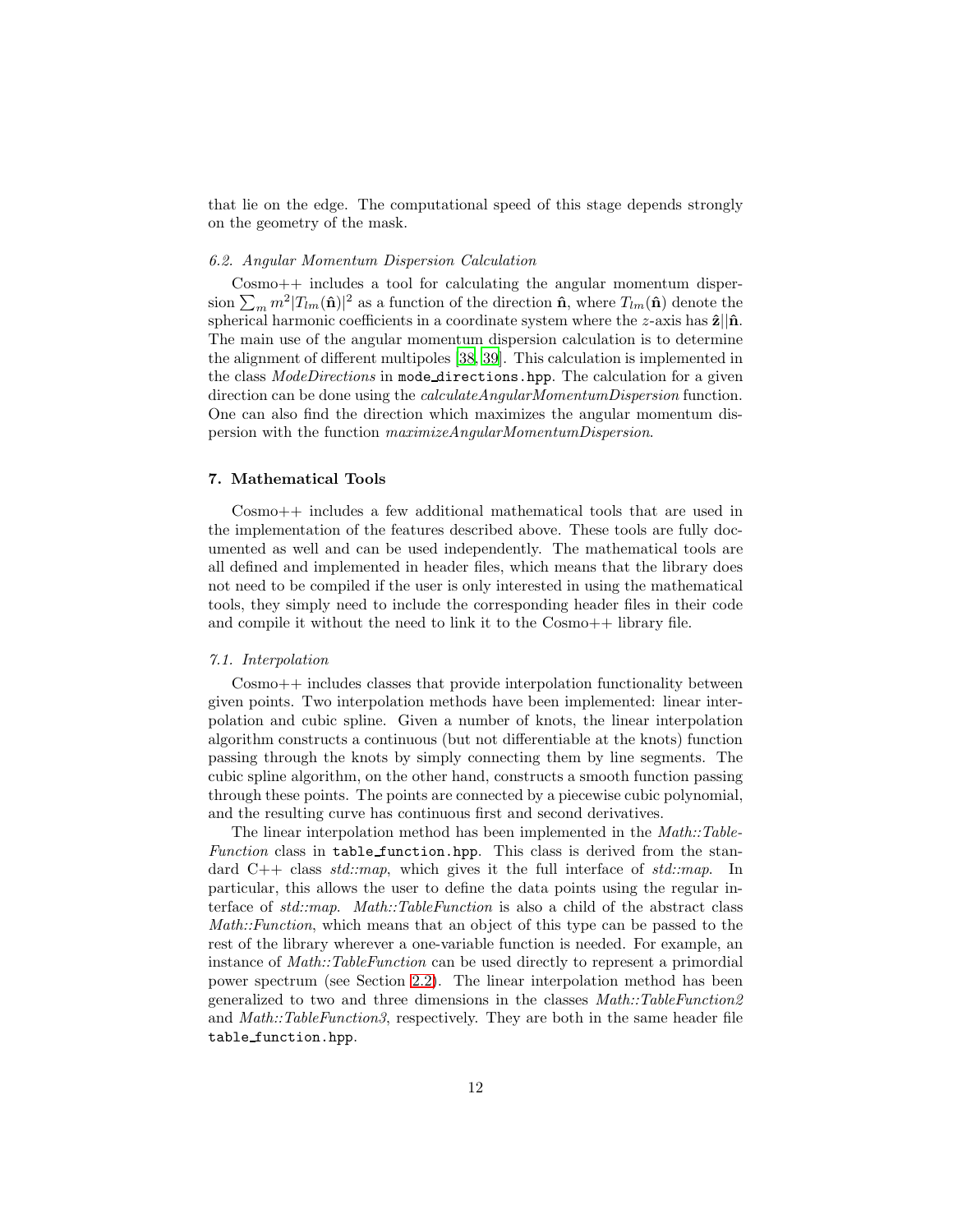that lie on the edge. The computational speed of this stage depends strongly on the geometry of the mask.

## *6.2. Angular Momentum Dispersion Calculation*

Cosmo++ includes a tool for calculating the angular momentum dispersion  $\sum_m m^2 |T_{lm}(\hat{\bf n})|^2$  as a function of the direction  $\hat{\bf n}$ , where  $T_{lm}(\hat{\bf n})$  denote the spherical harmonic coefficients in a coordinate system where the z-axis has  $\hat{\mathbf{z}}||\hat{\mathbf{n}}$ . The main use of the angular momentum dispersion calculation is to determine the alignment of different multipoles [\[38](#page-26-2), [39\]](#page-26-3). This calculation is implemented in the class *ModeDirections* in mode directions.hpp. The calculation for a given direction can be done using the *calculateAngularMomentumDispersion* function. One can also find the direction which maximizes the angular momentum dispersion with the function *maximizeAngularMomentumDispersion*.

## <span id="page-11-0"></span>7. Mathematical Tools

Cosmo++ includes a few additional mathematical tools that are used in the implementation of the features described above. These tools are fully documented as well and can be used independently. The mathematical tools are all defined and implemented in header files, which means that the library does not need to be compiled if the user is only interested in using the mathematical tools, they simply need to include the corresponding header files in their code and compile it without the need to link it to the Cosmo++ library file.

#### *7.1. Interpolation*

Cosmo++ includes classes that provide interpolation functionality between given points. Two interpolation methods have been implemented: linear interpolation and cubic spline. Given a number of knots, the linear interpolation algorithm constructs a continuous (but not differentiable at the knots) function passing through the knots by simply connecting them by line segments. The cubic spline algorithm, on the other hand, constructs a smooth function passing through these points. The points are connected by a piecewise cubic polynomial, and the resulting curve has continuous first and second derivatives.

The linear interpolation method has been implemented in the *Math::Table-Function* class in table function.hpp. This class is derived from the standard C++ class *std::map*, which gives it the full interface of *std::map*. In particular, this allows the user to define the data points using the regular interface of *std::map*. *Math::TableFunction* is also a child of the abstract class *Math::Function*, which means that an object of this type can be passed to the rest of the library wherever a one-variable function is needed. For example, an instance of *Math::TableFunction* can be used directly to represent a primordial power spectrum (see Section [2.2\)](#page-2-1). The linear interpolation method has been generalized to two and three dimensions in the classes *Math::TableFunction2* and *Math::TableFunction3*, respectively. They are both in the same header file table function.hpp.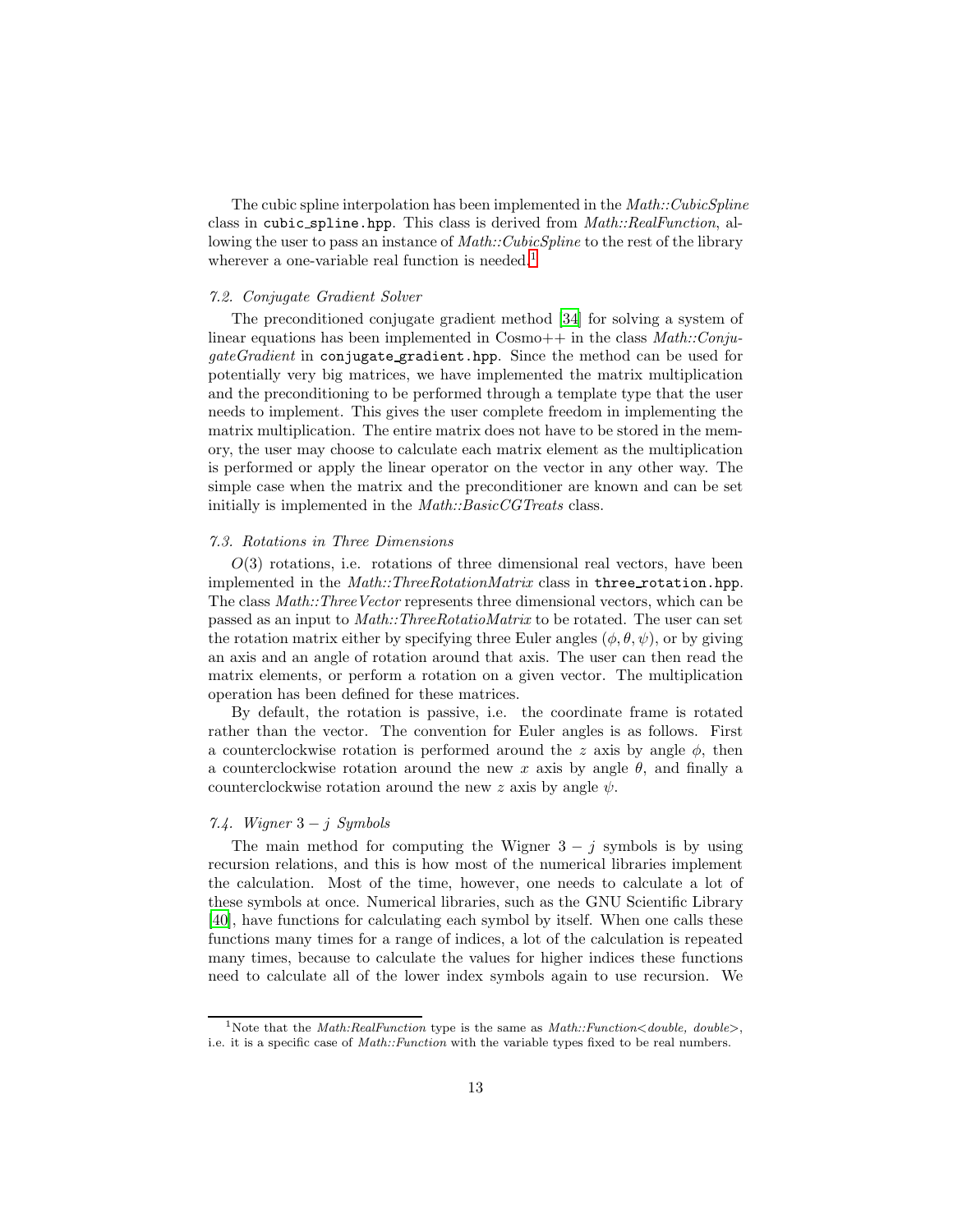The cubic spline interpolation has been implemented in the *Math::CubicSpline* class in cubic spline.hpp. This class is derived from *Math::RealFunction*, allowing the user to pass an instance of *Math::CubicSpline* to the rest of the library wherever a one-variable real function is needed.<sup>[1](#page-12-0)</sup>

# *7.2. Conjugate Gradient Solver*

The preconditioned conjugate gradient method [\[34\]](#page-25-8) for solving a system of linear equations has been implemented in Cosmo++ in the class *Math::ConjugateGradient* in conjugate gradient.hpp. Since the method can be used for potentially very big matrices, we have implemented the matrix multiplication and the preconditioning to be performed through a template type that the user needs to implement. This gives the user complete freedom in implementing the matrix multiplication. The entire matrix does not have to be stored in the memory, the user may choose to calculate each matrix element as the multiplication is performed or apply the linear operator on the vector in any other way. The simple case when the matrix and the preconditioner are known and can be set initially is implemented in the *Math::BasicCGTreats* class.

#### *7.3. Rotations in Three Dimensions*

 $O(3)$  rotations, i.e. rotations of three dimensional real vectors, have been implemented in the *Math::ThreeRotationMatrix* class in three\_rotation.hpp. The class *Math::ThreeVector* represents three dimensional vectors, which can be passed as an input to *Math::ThreeRotatioMatrix* to be rotated. The user can set the rotation matrix either by specifying three Euler angles  $(\phi, \theta, \psi)$ , or by giving an axis and an angle of rotation around that axis. The user can then read the matrix elements, or perform a rotation on a given vector. The multiplication operation has been defined for these matrices.

By default, the rotation is passive, i.e. the coordinate frame is rotated rather than the vector. The convention for Euler angles is as follows. First a counterclockwise rotation is performed around the z axis by angle  $\phi$ , then a counterclockwise rotation around the new x axis by angle  $\theta$ , and finally a counterclockwise rotation around the new z axis by angle  $\psi$ .

## *7.4. Wigner* 3 − j *Symbols*

The main method for computing the Wigner  $3 - j$  symbols is by using recursion relations, and this is how most of the numerical libraries implement the calculation. Most of the time, however, one needs to calculate a lot of these symbols at once. Numerical libraries, such as the GNU Scientific Library [\[40\]](#page-26-4), have functions for calculating each symbol by itself. When one calls these functions many times for a range of indices, a lot of the calculation is repeated many times, because to calculate the values for higher indices these functions need to calculate all of the lower index symbols again to use recursion. We

<span id="page-12-0"></span><sup>&</sup>lt;sup>1</sup>Note that the *Math:RealFunction* type is the same as  $Math:Function < double$ ,  $double$ , i.e. it is a specific case of Math::Function with the variable types fixed to be real numbers.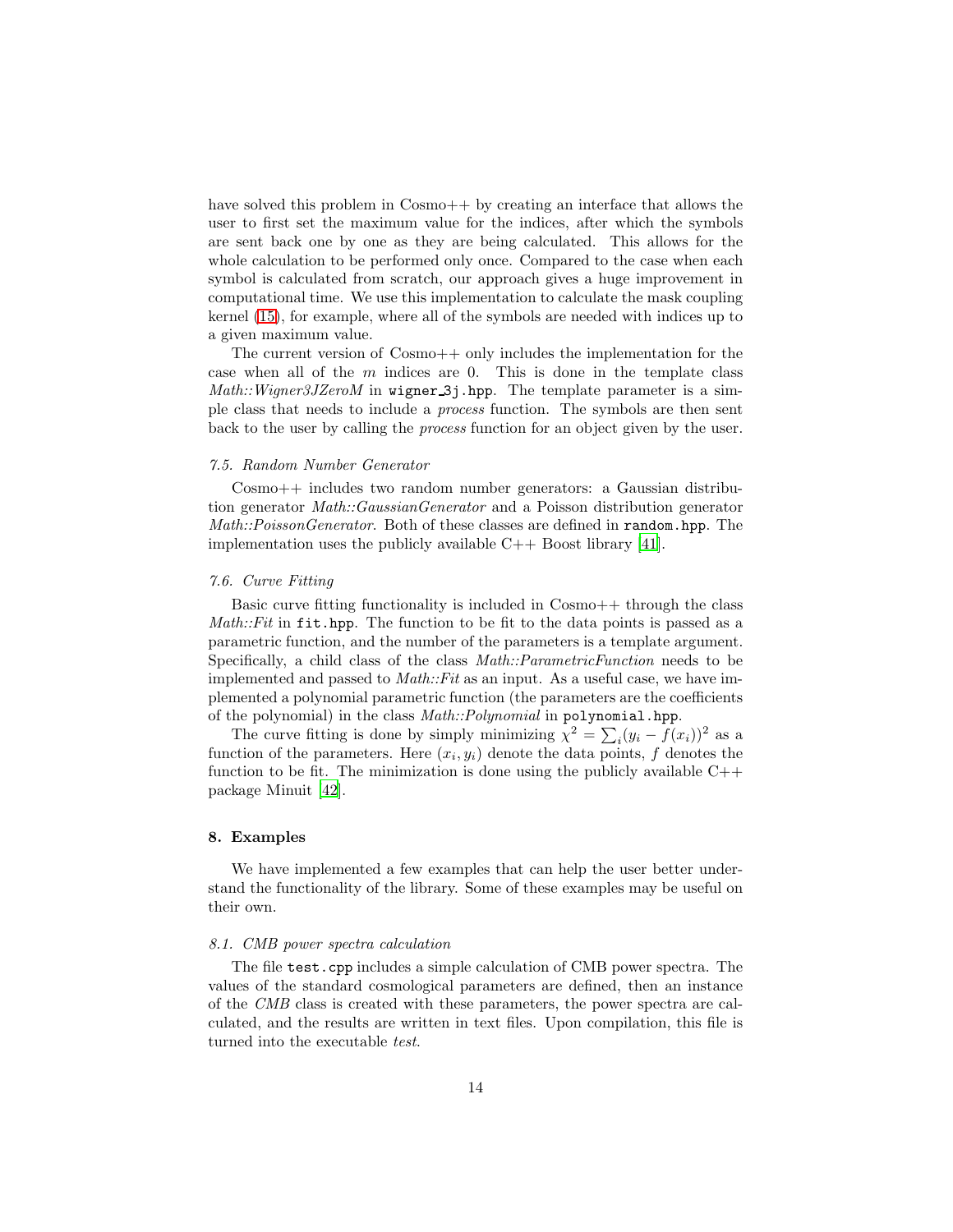have solved this problem in  $\text{Cosmo++}$  by creating an interface that allows the user to first set the maximum value for the indices, after which the symbols are sent back one by one as they are being calculated. This allows for the whole calculation to be performed only once. Compared to the case when each symbol is calculated from scratch, our approach gives a huge improvement in computational time. We use this implementation to calculate the mask coupling kernel [\(15\)](#page-7-0), for example, where all of the symbols are needed with indices up to a given maximum value.

The current version of Cosmo++ only includes the implementation for the case when all of the m indices are 0. This is done in the template class *Math::Wigner3JZeroM* in wigner 3j.hpp. The template parameter is a simple class that needs to include a *process* function. The symbols are then sent back to the user by calling the *process* function for an object given by the user.

## *7.5. Random Number Generator*

Cosmo++ includes two random number generators: a Gaussian distribution generator *Math::GaussianGenerator* and a Poisson distribution generator *Math::PoissonGenerator*. Both of these classes are defined in random.hpp. The implementation uses the publicly available  $C++$  Boost library [\[41](#page-26-5)].

## *7.6. Curve Fitting*

Basic curve fitting functionality is included in Cosmo++ through the class *Math::Fit* in fit.hpp. The function to be fit to the data points is passed as a parametric function, and the number of the parameters is a template argument. Specifically, a child class of the class *Math::ParametricFunction* needs to be implemented and passed to *Math::Fit* as an input. As a useful case, we have implemented a polynomial parametric function (the parameters are the coefficients of the polynomial) in the class *Math::Polynomial* in polynomial.hpp.

The curve fitting is done by simply minimizing  $\chi^2 = \sum_i (y_i - f(x_i))^2$  as a function of the parameters. Here  $(x_i, y_i)$  denote the data points, f denotes the function to be fit. The minimization is done using the publicly available  $C_{++}$ package Minuit [\[42\]](#page-26-6).

## <span id="page-13-0"></span>8. Examples

We have implemented a few examples that can help the user better understand the functionality of the library. Some of these examples may be useful on their own.

#### *8.1. CMB power spectra calculation*

The file test.cpp includes a simple calculation of CMB power spectra. The values of the standard cosmological parameters are defined, then an instance of the *CMB* class is created with these parameters, the power spectra are calculated, and the results are written in text files. Upon compilation, this file is turned into the executable *test*.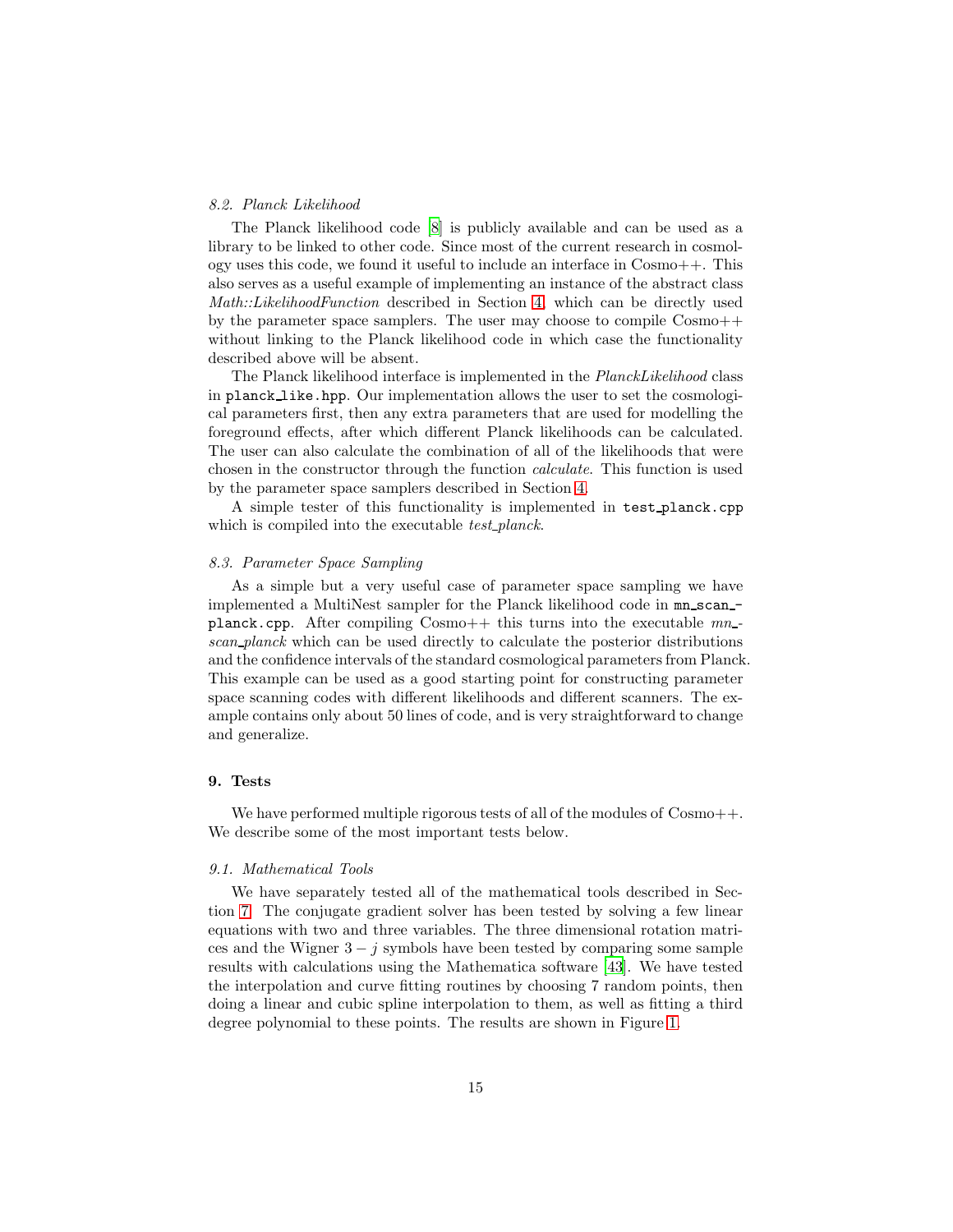## *8.2. Planck Likelihood*

The Planck likelihood code [\[8](#page-23-7)] is publicly available and can be used as a library to be linked to other code. Since most of the current research in cosmology uses this code, we found it useful to include an interface in Cosmo++. This also serves as a useful example of implementing an instance of the abstract class *Math::LikelihoodFunction* described in Section [4,](#page-8-0) which can be directly used by the parameter space samplers. The user may choose to compile Cosmo++ without linking to the Planck likelihood code in which case the functionality described above will be absent.

The Planck likelihood interface is implemented in the *PlanckLikelihood* class in planck like.hpp. Our implementation allows the user to set the cosmological parameters first, then any extra parameters that are used for modelling the foreground effects, after which different Planck likelihoods can be calculated. The user can also calculate the combination of all of the likelihoods that were chosen in the constructor through the function *calculate*. This function is used by the parameter space samplers described in Section [4.](#page-8-0)

A simple tester of this functionality is implemented in test planck.cpp which is compiled into the executable *test planck*.

## *8.3. Parameter Space Sampling*

As a simple but a very useful case of parameter space sampling we have implemented a MultiNest sampler for the Planck likelihood code in mn scan planck.cpp. After compiling Cosmo++ this turns into the executable *mn scan planck* which can be used directly to calculate the posterior distributions and the confidence intervals of the standard cosmological parameters from Planck. This example can be used as a good starting point for constructing parameter space scanning codes with different likelihoods and different scanners. The example contains only about 50 lines of code, and is very straightforward to change and generalize.

## <span id="page-14-0"></span>9. Tests

We have performed multiple rigorous tests of all of the modules of  $\text{Cosmo++}.$ We describe some of the most important tests below.

# *9.1. Mathematical Tools*

We have separately tested all of the mathematical tools described in Section [7.](#page-11-0) The conjugate gradient solver has been tested by solving a few linear equations with two and three variables. The three dimensional rotation matrices and the Wigner  $3 - i$  symbols have been tested by comparing some sample results with calculations using the Mathematica software [\[43](#page-26-7)]. We have tested the interpolation and curve fitting routines by choosing 7 random points, then doing a linear and cubic spline interpolation to them, as well as fitting a third degree polynomial to these points. The results are shown in Figure [1.](#page-15-0)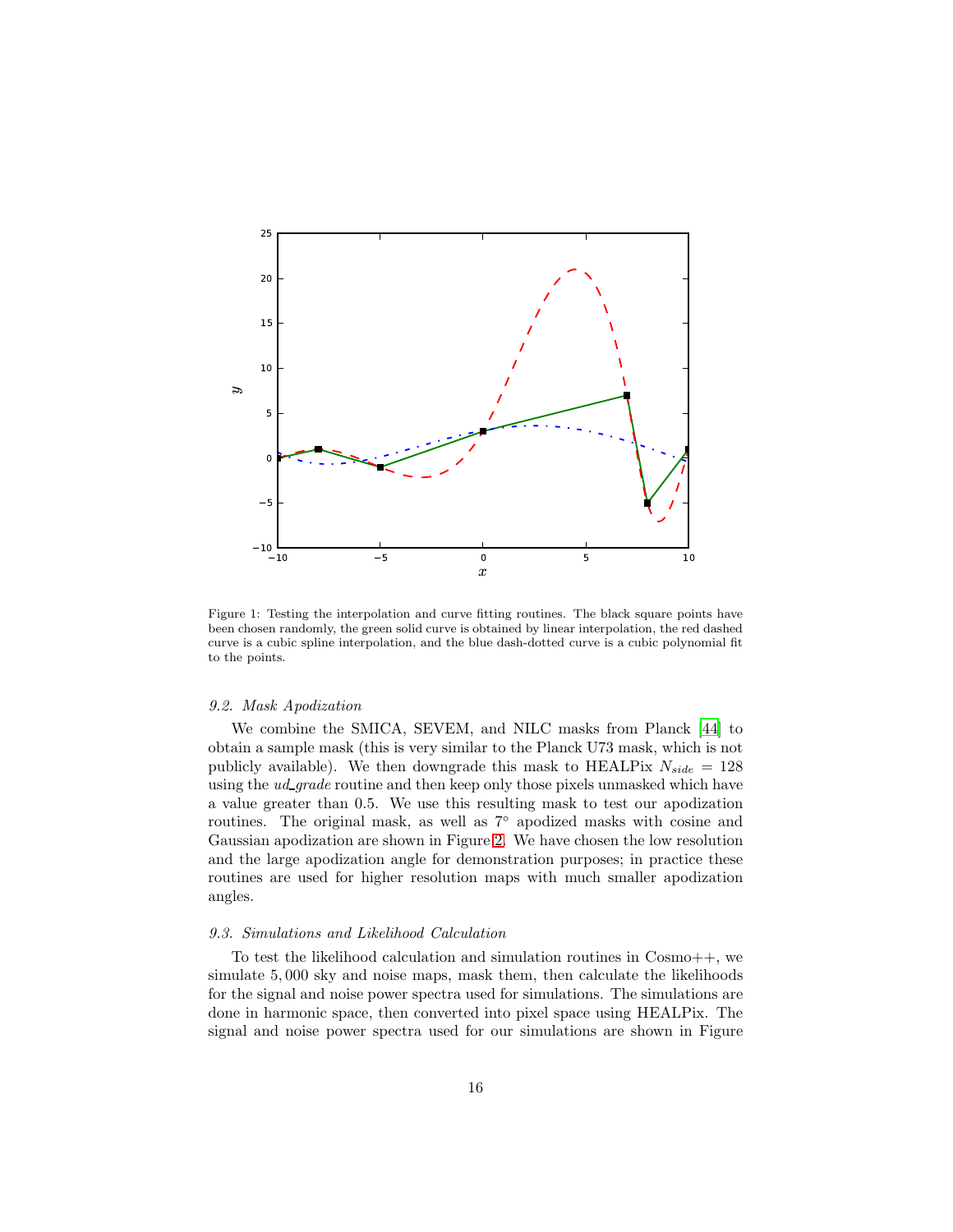

<span id="page-15-0"></span>Figure 1: Testing the interpolation and curve fitting routines. The black square points have been chosen randomly, the green solid curve is obtained by linear interpolation, the red dashed curve is a cubic spline interpolation, and the blue dash-dotted curve is a cubic polynomial fit to the points.

#### <span id="page-15-1"></span>*9.2. Mask Apodization*

We combine the SMICA, SEVEM, and NILC masks from Planck [\[44](#page-26-8)] to obtain a sample mask (this is very similar to the Planck U73 mask, which is not publicly available). We then downgrade this mask to HEALPix  $N_{side} = 128$ using the *ud grade* routine and then keep only those pixels unmasked which have a value greater than 0.5. We use this resulting mask to test our apodization routines. The original mask, as well as 7◦ apodized masks with cosine and Gaussian apodization are shown in Figure [2.](#page-16-0) We have chosen the low resolution and the large apodization angle for demonstration purposes; in practice these routines are used for higher resolution maps with much smaller apodization angles.

## *9.3. Simulations and Likelihood Calculation*

To test the likelihood calculation and simulation routines in Cosmo++, we simulate 5,000 sky and noise maps, mask them, then calculate the likelihoods for the signal and noise power spectra used for simulations. The simulations are done in harmonic space, then converted into pixel space using HEALPix. The signal and noise power spectra used for our simulations are shown in Figure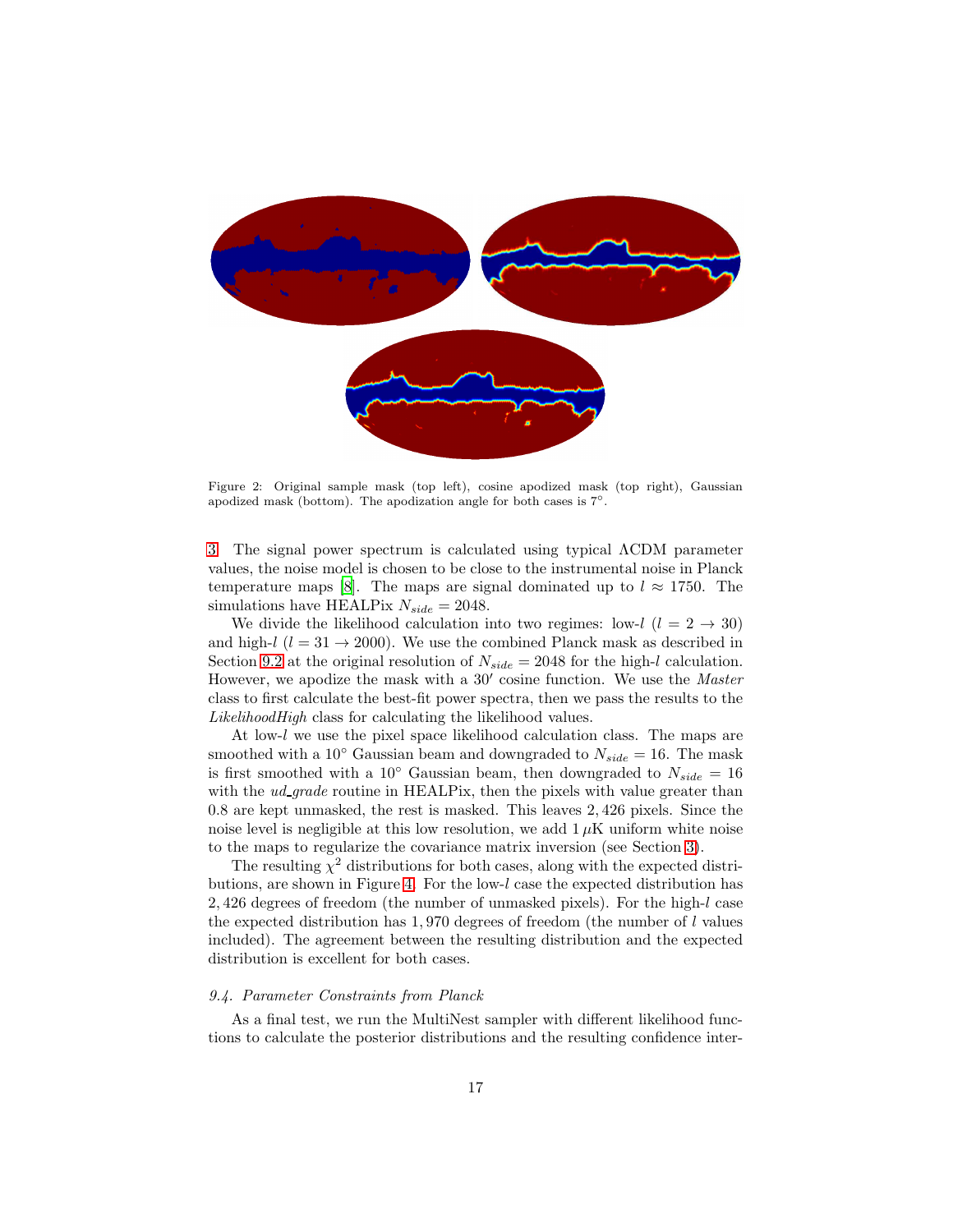

<span id="page-16-0"></span>Figure 2: Original sample mask (top left), cosine apodized mask (top right), Gaussian apodized mask (bottom). The apodization angle for both cases is 7◦.

[3.](#page-17-0) The signal power spectrum is calculated using typical ΛCDM parameter values, the noise model is chosen to be close to the instrumental noise in Planck temperature maps [\[8](#page-23-7)]. The maps are signal dominated up to  $l \approx 1750$ . The simulations have HEALPix  $N_{side} = 2048$ .

We divide the likelihood calculation into two regimes: low-l  $(l = 2 \rightarrow 30)$ and high-l  $(l = 31 \rightarrow 2000)$ . We use the combined Planck mask as described in Section [9.2](#page-15-1) at the original resolution of  $N_{side} = 2048$  for the high-l calculation. However, we apodize the mask with a 30′ cosine function. We use the *Master* class to first calculate the best-fit power spectra, then we pass the results to the *LikelihoodHigh* class for calculating the likelihood values.

At low-l we use the pixel space likelihood calculation class. The maps are smoothed with a 10° Gaussian beam and downgraded to  $N_{side} = 16$ . The mask is first smoothed with a 10° Gaussian beam, then downgraded to  $N_{side} = 16$ with the *ud\_qrade* routine in HEALPix, then the pixels with value greater than 0.8 are kept unmasked, the rest is masked. This leaves 2, 426 pixels. Since the noise level is negligible at this low resolution, we add  $1 \mu$ K uniform white noise to the maps to regularize the covariance matrix inversion (see Section [3\)](#page-3-0).

The resulting  $\chi^2$  distributions for both cases, along with the expected distributions, are shown in Figure [4.](#page-17-1) For the low-l case the expected distribution has 2, 426 degrees of freedom (the number of unmasked pixels). For the high-l case the expected distribution has  $1,970$  degrees of freedom (the number of  $l$  values included). The agreement between the resulting distribution and the expected distribution is excellent for both cases.

## *9.4. Parameter Constraints from Planck*

As a final test, we run the MultiNest sampler with different likelihood functions to calculate the posterior distributions and the resulting confidence inter-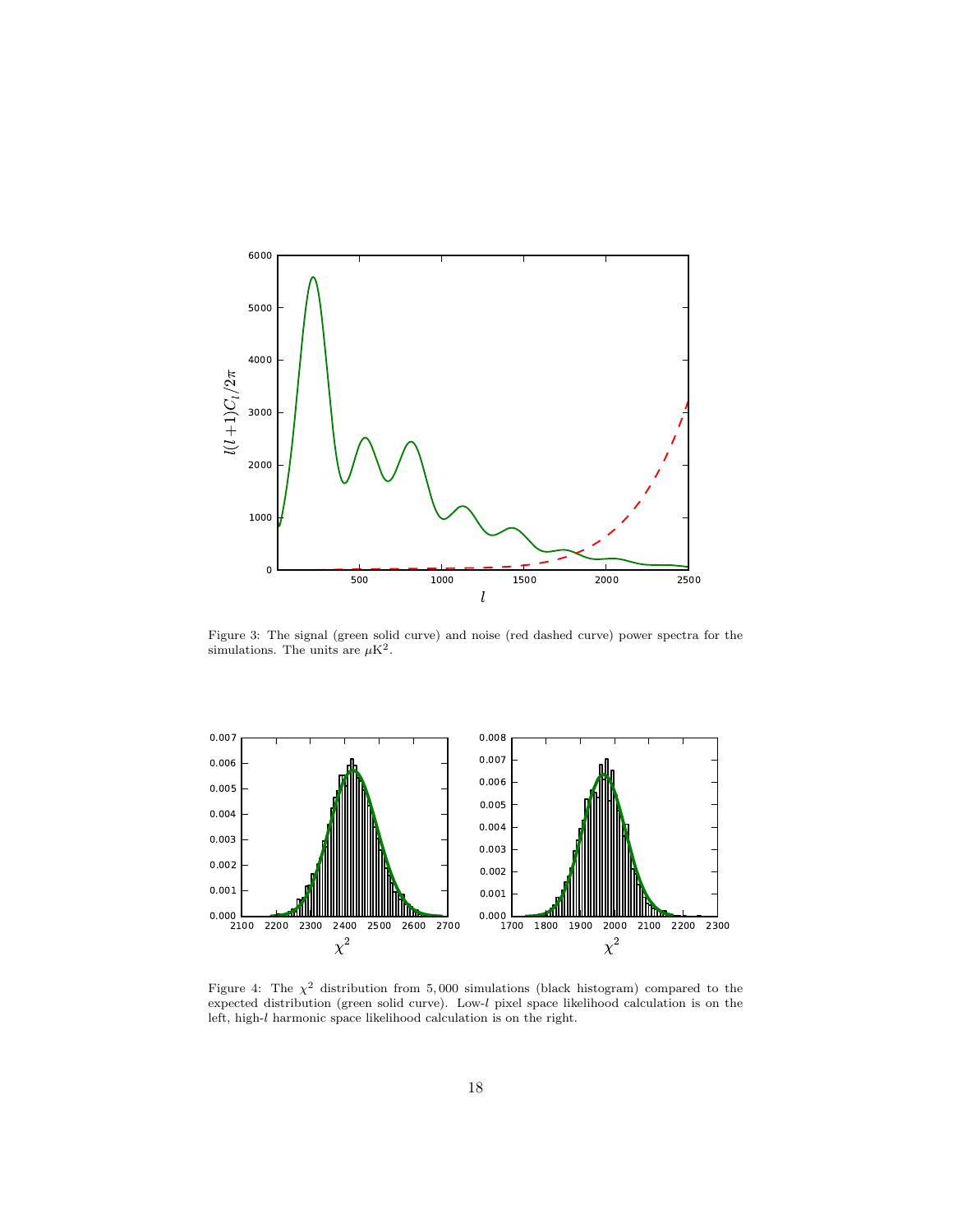

<span id="page-17-0"></span>Figure 3: The signal (green solid curve) and noise (red dashed curve) power spectra for the simulations. The units are  $\mu$ K<sup>2</sup>.



<span id="page-17-1"></span>Figure 4: The  $\chi^2$  distribution from 5,000 simulations (black histogram) compared to the expected distribution (green solid curve). Low-l pixel space likelihood calculation is on the left, high-l harmonic space likelihood calculation is on the right.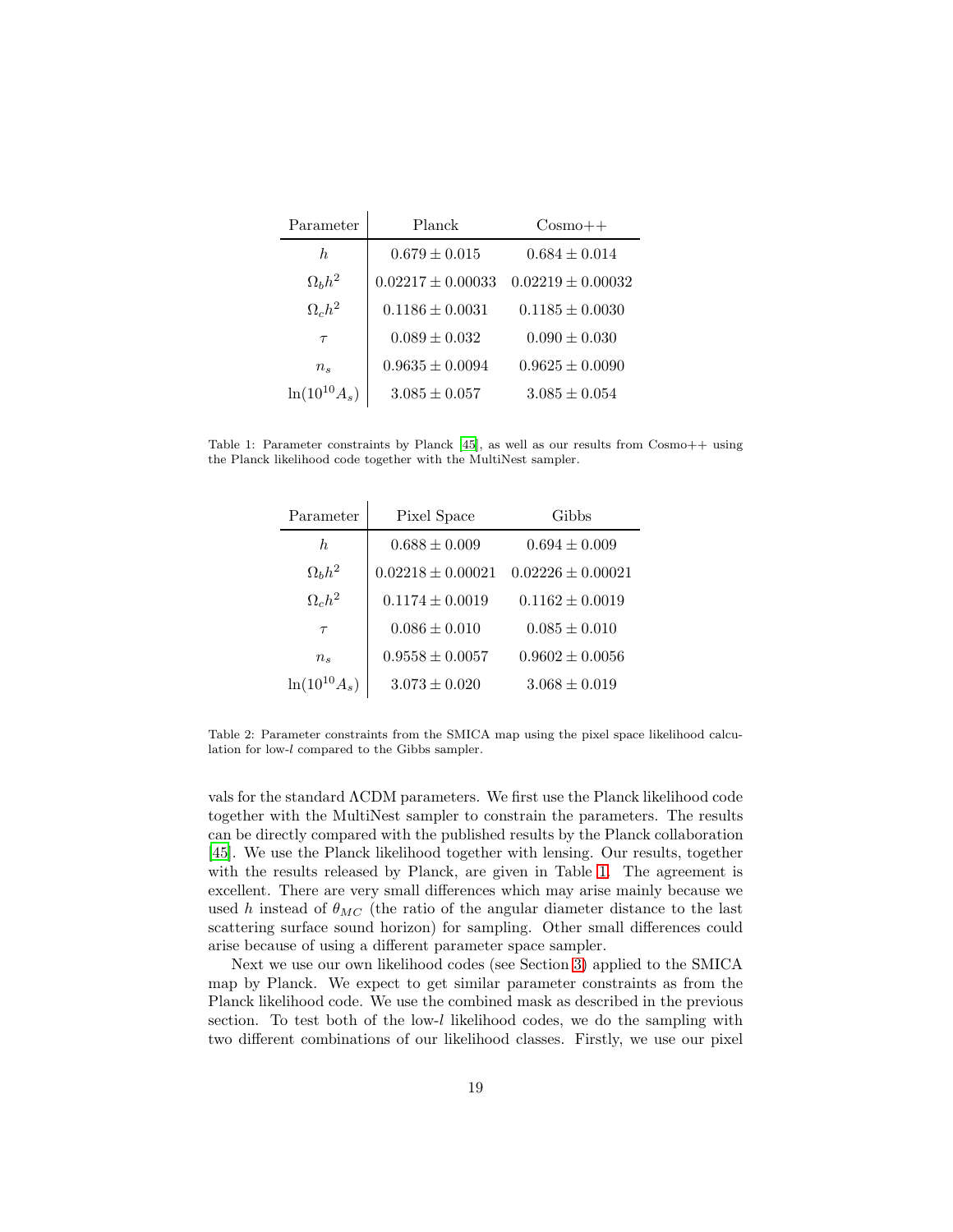| Parameter        | Planck                | $Cosmo++$             |
|------------------|-----------------------|-----------------------|
| h.               | $0.679 \pm 0.015$     | $0.684 \pm 0.014$     |
| $\Omega_h h^2$   | $0.02217 \pm 0.00033$ | $0.02219 \pm 0.00032$ |
| $\Omega_c h^2$   | $0.1186 \pm 0.0031$   | $0.1185 \pm 0.0030$   |
| $\tau$           | $0.089 \pm 0.032$     | $0.090 \pm 0.030$     |
| $n_{s}$          | $0.9635 \pm 0.0094$   | $0.9625 \pm 0.0090$   |
| $ln(10^{10}A_s)$ | $3.085 \pm 0.057$     | $3.085 \pm 0.054$     |

Table 1: Parameter constraints by Planck [\[45\]](#page-26-9), as well as our results from Cosmo++ using the Planck likelihood code together with the MultiNest sampler.

<span id="page-18-0"></span>

| Parameter        | Pixel Space           | Gibbs                 |
|------------------|-----------------------|-----------------------|
| $h_{\cdot}$      | $0.688 \pm 0.009$     | $0.694 \pm 0.009$     |
| $\Omega_b h^2$   | $0.02218 \pm 0.00021$ | $0.02226 \pm 0.00021$ |
| $\Omega_c h^2$   | $0.1174 \pm 0.0019$   | $0.1162 \pm 0.0019$   |
| $\tau$           | $0.086 \pm 0.010$     | $0.085 \pm 0.010$     |
| $n_{\rm s}$      | $0.9558 \pm 0.0057$   | $0.9602 \pm 0.0056$   |
| $ln(10^{10}A_s)$ | $3.073 + 0.020$       | $3.068 \pm 0.019$     |

<span id="page-18-1"></span>Table 2: Parameter constraints from the SMICA map using the pixel space likelihood calculation for low-l compared to the Gibbs sampler.

vals for the standard ΛCDM parameters. We first use the Planck likelihood code together with the MultiNest sampler to constrain the parameters. The results can be directly compared with the published results by the Planck collaboration [\[45\]](#page-26-9). We use the Planck likelihood together with lensing. Our results, together with the results released by Planck, are given in Table [1.](#page-18-0) The agreement is excellent. There are very small differences which may arise mainly because we used h instead of  $\theta_{MC}$  (the ratio of the angular diameter distance to the last scattering surface sound horizon) for sampling. Other small differences could arise because of using a different parameter space sampler.

Next we use our own likelihood codes (see Section [3\)](#page-3-0) applied to the SMICA map by Planck. We expect to get similar parameter constraints as from the Planck likelihood code. We use the combined mask as described in the previous section. To test both of the low-l likelihood codes, we do the sampling with two different combinations of our likelihood classes. Firstly, we use our pixel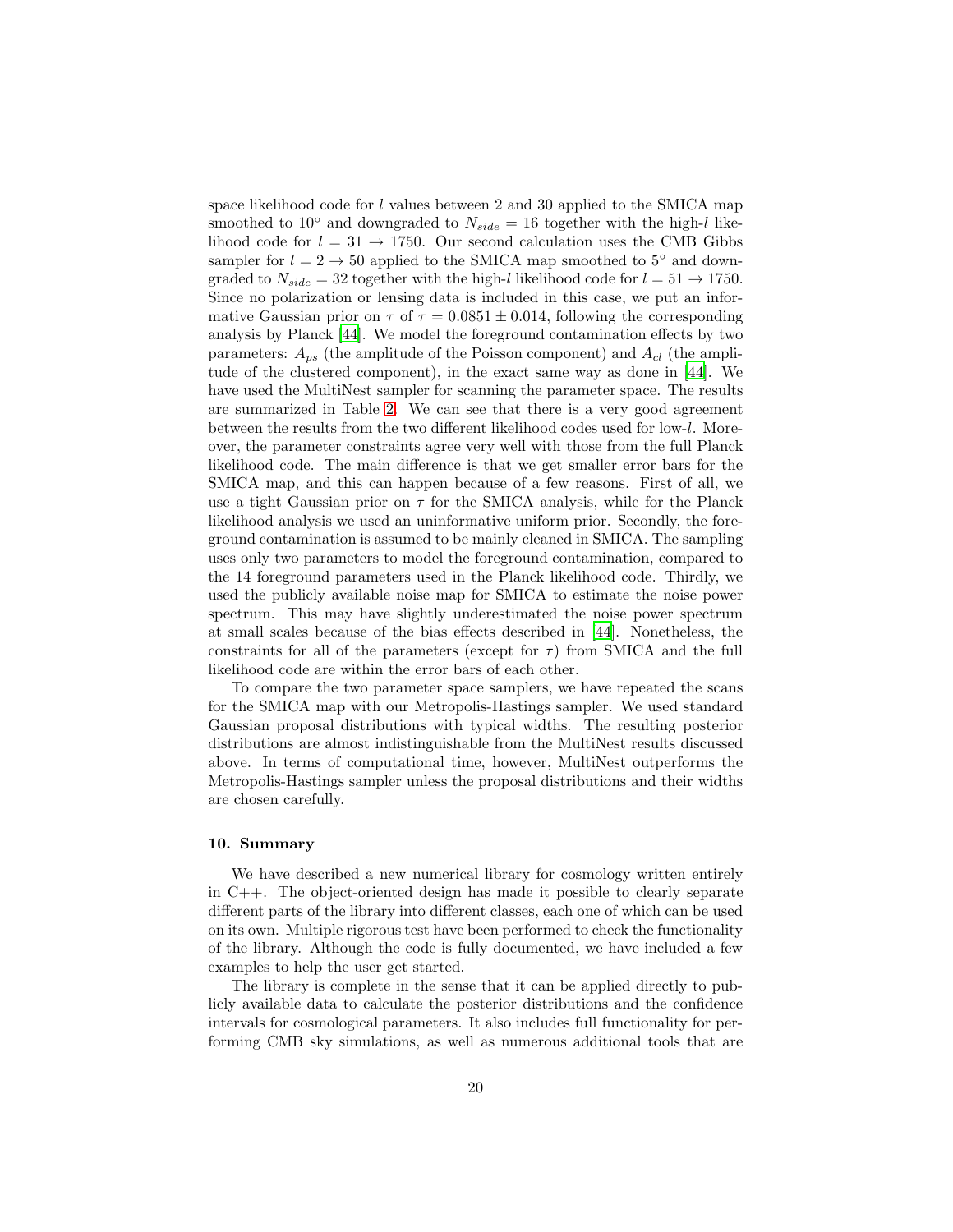space likelihood code for  $l$  values between 2 and 30 applied to the SMICA map smoothed to 10° and downgraded to  $N_{side} = 16$  together with the high-l likelihood code for  $l = 31 \rightarrow 1750$ . Our second calculation uses the CMB Gibbs sampler for  $l = 2 \rightarrow 50$  applied to the SMICA map smoothed to 5<sup>°</sup> and downgraded to  $N_{side} = 32$  together with the high-l likelihood code for  $l = 51 \rightarrow 1750$ . Since no polarization or lensing data is included in this case, we put an informative Gaussian prior on  $\tau$  of  $\tau = 0.0851 \pm 0.014$ , following the corresponding analysis by Planck [\[44\]](#page-26-8). We model the foreground contamination effects by two parameters:  $A_{ps}$  (the amplitude of the Poisson component) and  $A_{cl}$  (the amplitude of the clustered component), in the exact same way as done in [\[44](#page-26-8)]. We have used the MultiNest sampler for scanning the parameter space. The results are summarized in Table [2.](#page-18-1) We can see that there is a very good agreement between the results from the two different likelihood codes used for low-l. Moreover, the parameter constraints agree very well with those from the full Planck likelihood code. The main difference is that we get smaller error bars for the SMICA map, and this can happen because of a few reasons. First of all, we use a tight Gaussian prior on  $\tau$  for the SMICA analysis, while for the Planck likelihood analysis we used an uninformative uniform prior. Secondly, the foreground contamination is assumed to be mainly cleaned in SMICA. The sampling uses only two parameters to model the foreground contamination, compared to the 14 foreground parameters used in the Planck likelihood code. Thirdly, we used the publicly available noise map for SMICA to estimate the noise power spectrum. This may have slightly underestimated the noise power spectrum at small scales because of the bias effects described in [\[44\]](#page-26-8). Nonetheless, the constraints for all of the parameters (except for  $\tau$ ) from SMICA and the full likelihood code are within the error bars of each other.

To compare the two parameter space samplers, we have repeated the scans for the SMICA map with our Metropolis-Hastings sampler. We used standard Gaussian proposal distributions with typical widths. The resulting posterior distributions are almost indistinguishable from the MultiNest results discussed above. In terms of computational time, however, MultiNest outperforms the Metropolis-Hastings sampler unless the proposal distributions and their widths are chosen carefully.

## <span id="page-19-0"></span>10. Summary

We have described a new numerical library for cosmology written entirely in  $C_{++}$ . The object-oriented design has made it possible to clearly separate different parts of the library into different classes, each one of which can be used on its own. Multiple rigorous test have been performed to check the functionality of the library. Although the code is fully documented, we have included a few examples to help the user get started.

The library is complete in the sense that it can be applied directly to publicly available data to calculate the posterior distributions and the confidence intervals for cosmological parameters. It also includes full functionality for performing CMB sky simulations, as well as numerous additional tools that are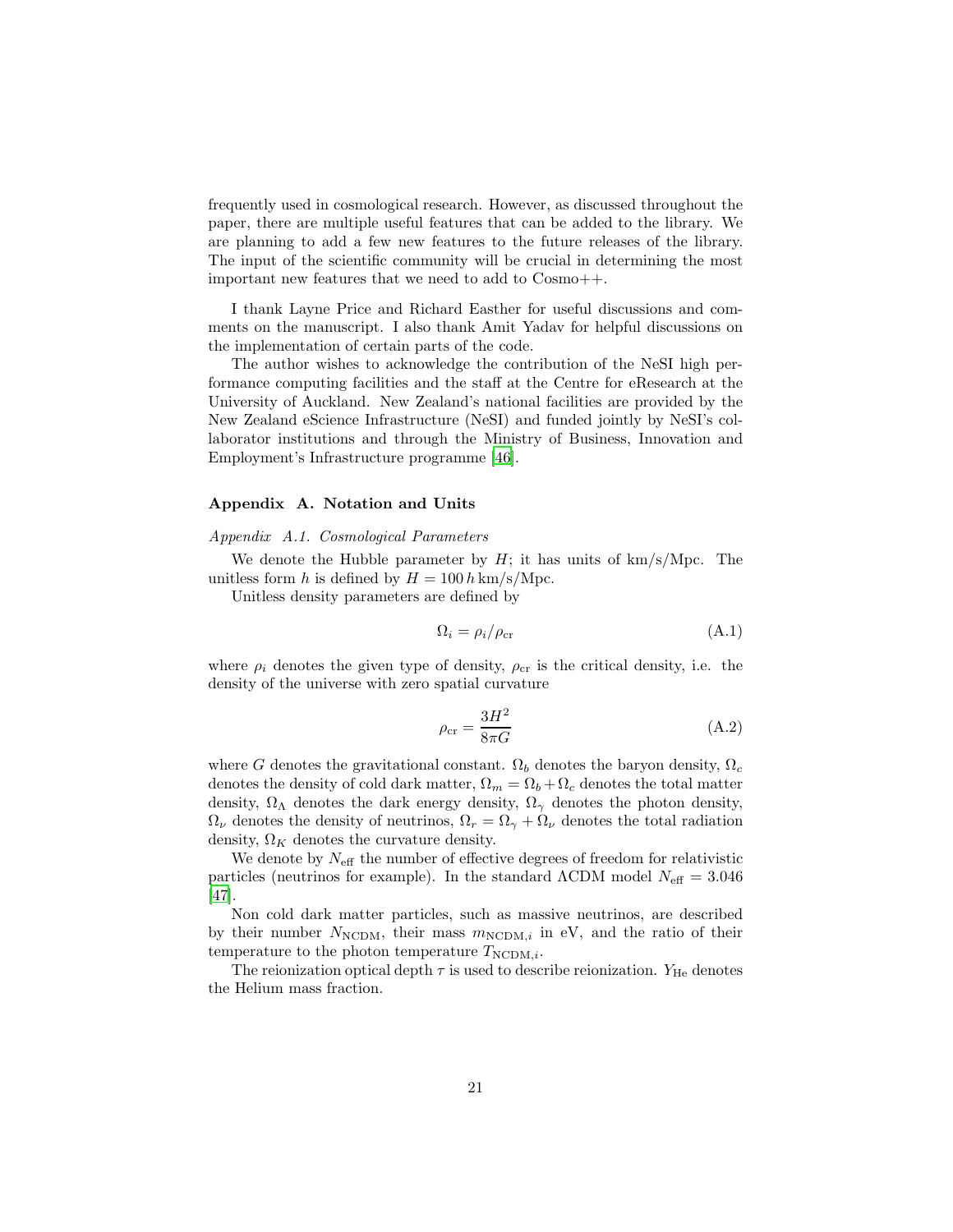frequently used in cosmological research. However, as discussed throughout the paper, there are multiple useful features that can be added to the library. We are planning to add a few new features to the future releases of the library. The input of the scientific community will be crucial in determining the most important new features that we need to add to Cosmo++.

I thank Layne Price and Richard Easther for useful discussions and comments on the manuscript. I also thank Amit Yadav for helpful discussions on the implementation of certain parts of the code.

The author wishes to acknowledge the contribution of the NeSI high performance computing facilities and the staff at the Centre for eResearch at the University of Auckland. New Zealand's national facilities are provided by the New Zealand eScience Infrastructure (NeSI) and funded jointly by NeSI's collaborator institutions and through the Ministry of Business, Innovation and Employment's Infrastructure programme [\[46](#page-26-10)].

## <span id="page-20-1"></span><span id="page-20-0"></span>Appendix A. Notation and Units

## *Appendix A.1. Cosmological Parameters*

We denote the Hubble parameter by  $H$ ; it has units of  $km/s/Mpc$ . The unitless form h is defined by  $H = 100 h \text{ km/s/Mpc}$ .

Unitless density parameters are defined by

$$
\Omega_i = \rho_i / \rho_{\rm cr} \tag{A.1}
$$

where  $\rho_i$  denotes the given type of density,  $\rho_{cr}$  is the critical density, i.e. the density of the universe with zero spatial curvature

$$
\rho_{\rm cr} = \frac{3H^2}{8\pi G} \tag{A.2}
$$

where G denotes the gravitational constant.  $\Omega_b$  denotes the baryon density,  $\Omega_c$ denotes the density of cold dark matter,  $\Omega_m = \Omega_b + \Omega_c$  denotes the total matter density,  $\Omega_{\Lambda}$  denotes the dark energy density,  $\Omega_{\gamma}$  denotes the photon density,  $\Omega_{\nu}$  denotes the density of neutrinos,  $\Omega_{r} = \Omega_{\gamma} + \Omega_{\nu}$  denotes the total radiation density,  $\Omega_K$  denotes the curvature density.

We denote by  $N_{\text{eff}}$  the number of effective degrees of freedom for relativistic particles (neutrinos for example). In the standard  $\Lambda$ CDM model  $N_{\text{eff}} = 3.046$ [\[47\]](#page-26-11).

Non cold dark matter particles, such as massive neutrinos, are described by their number  $N_{\text{NCDM}}$ , their mass  $m_{\text{NCDM},i}$  in eV, and the ratio of their temperature to the photon temperature  $T_{\text{NCDM},i}$ .

The reionization optical depth  $\tau$  is used to describe reionization.  $Y_{\text{He}}$  denotes the Helium mass fraction.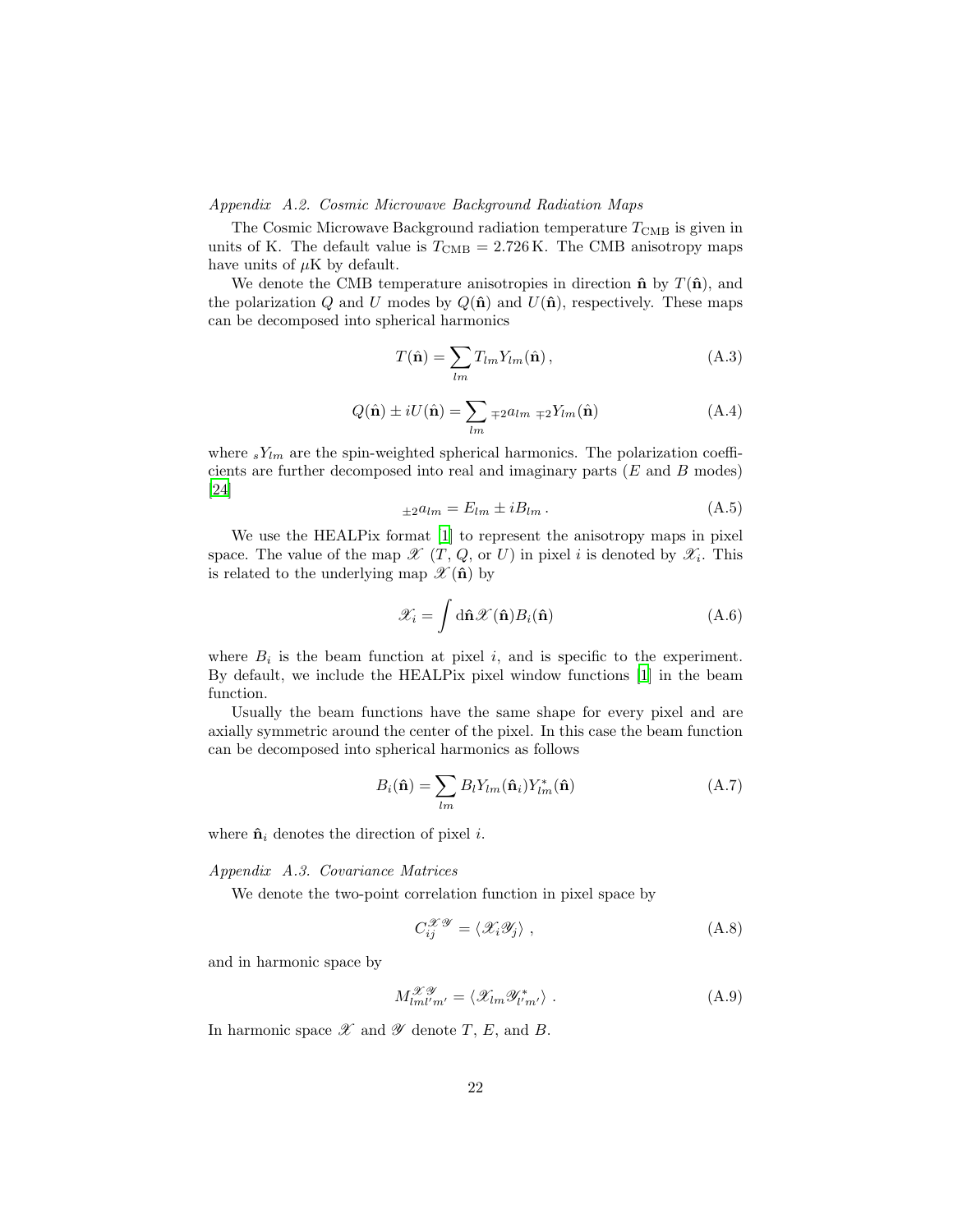<span id="page-21-0"></span>*Appendix A.2. Cosmic Microwave Background Radiation Maps*

The Cosmic Microwave Background radiation temperature  $T_{\text{CMB}}$  is given in units of K. The default value is  $T_{\text{CMB}} = 2.726 \text{ K}$ . The CMB anisotropy maps have units of  $\mu$ K by default.

We denote the CMB temperature anisotropies in direction  $\hat{\mathbf{n}}$  by  $T(\hat{\mathbf{n}})$ , and the polarization Q and U modes by  $Q(\hat{\mathbf{n}})$  and  $U(\hat{\mathbf{n}})$ , respectively. These maps can be decomposed into spherical harmonics

$$
T(\hat{\mathbf{n}}) = \sum_{lm} T_{lm} Y_{lm}(\hat{\mathbf{n}}), \qquad (A.3)
$$

$$
Q(\hat{\mathbf{n}}) \pm iU(\hat{\mathbf{n}}) = \sum_{lm} \pm 2a_{lm} \pm 2Y_{lm}(\hat{\mathbf{n}})
$$
(A.4)

where  $sY_{lm}$  are the spin-weighted spherical harmonics. The polarization coefficients are further decomposed into real and imaginary parts  $(E \text{ and } B \text{ modes})$ [\[24\]](#page-24-11)

$$
{}_{\pm 2}a_{lm} = E_{lm} \pm iB_{lm} \,. \tag{A.5}
$$

We use the HEALPix format [\[1\]](#page-23-0) to represent the anisotropy maps in pixel space. The value of the map  $\mathscr{X}$   $(T, Q,$  or U) in pixel i is denoted by  $\mathscr{X}_i$ . This is related to the underlying map  $\mathscr{X}(\hat{\mathbf{n}})$  by

$$
\mathscr{X}_i = \int d\hat{\mathbf{n}} \mathscr{X}(\hat{\mathbf{n}}) B_i(\hat{\mathbf{n}})
$$
 (A.6)

where  $B_i$  is the beam function at pixel i, and is specific to the experiment. By default, we include the HEALPix pixel window functions [\[1\]](#page-23-0) in the beam function.

Usually the beam functions have the same shape for every pixel and are axially symmetric around the center of the pixel. In this case the beam function can be decomposed into spherical harmonics as follows

$$
B_i(\hat{\mathbf{n}}) = \sum_{lm} B_l Y_{lm}(\hat{\mathbf{n}}_i) Y_{lm}^*(\hat{\mathbf{n}})
$$
(A.7)

where  $\hat{\mathbf{n}}_i$  denotes the direction of pixel *i*.

## *Appendix A.3. Covariance Matrices*

We denote the two-point correlation function in pixel space by

<span id="page-21-1"></span>
$$
C_{ij}^{\mathcal{X}\mathcal{Y}} = \langle \mathcal{X}_i \mathcal{Y}_j \rangle , \qquad (A.8)
$$

and in harmonic space by

<span id="page-21-2"></span>
$$
M_{lml'm'}^{\mathcal{X}\mathcal{Y}} = \langle \mathcal{X}_{l m} \mathcal{Y}_{l'm'}^* \rangle . \tag{A.9}
$$

In harmonic space  $\mathscr X$  and  $\mathscr Y$  denote T, E, and B.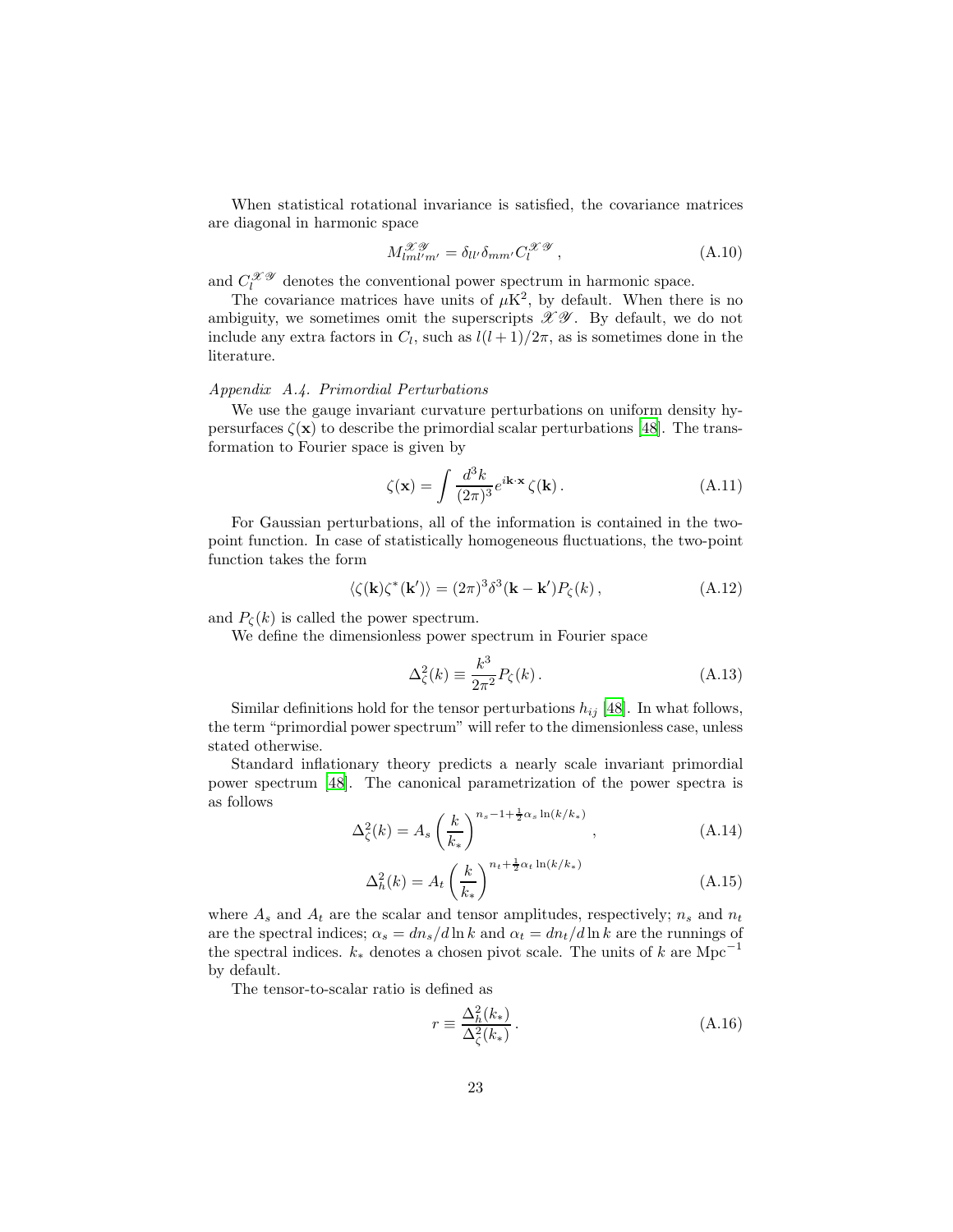When statistical rotational invariance is satisfied, the covariance matrices are diagonal in harmonic space

$$
M_{lml'm'}^{\mathcal{X}\mathcal{Y}} = \delta_{ll'}\delta_{mm'}C_l^{\mathcal{X}\mathcal{Y}},\qquad (A.10)
$$

and  $C_l^{\mathscr{X}\mathscr{Y}}$  denotes the conventional power spectrum in harmonic space.

The covariance matrices have units of  $\mu$ K<sup>2</sup>, by default. When there is no ambiguity, we sometimes omit the superscripts  $\mathscr{X} \mathscr{Y}$ . By default, we do not include any extra factors in  $C_l$ , such as  $l(l+1)/2\pi$ , as is sometimes done in the literature.

# <span id="page-22-0"></span>*Appendix A.4. Primordial Perturbations*

We use the gauge invariant curvature perturbations on uniform density hypersurfaces  $\zeta(\mathbf{x})$  to describe the primordial scalar perturbations [\[48\]](#page-26-12). The transformation to Fourier space is given by

$$
\zeta(\mathbf{x}) = \int \frac{d^3k}{(2\pi)^3} e^{i\mathbf{k}\cdot\mathbf{x}} \zeta(\mathbf{k}).
$$
\n(A.11)

For Gaussian perturbations, all of the information is contained in the twopoint function. In case of statistically homogeneous fluctuations, the two-point function takes the form

$$
\langle \zeta(\mathbf{k}) \zeta^*(\mathbf{k'}) \rangle = (2\pi)^3 \delta^3(\mathbf{k} - \mathbf{k'}) P_{\zeta}(k) , \qquad (A.12)
$$

and  $P_{\zeta}(k)$  is called the power spectrum.

We define the dimensionless power spectrum in Fourier space

$$
\Delta_{\zeta}^2(k) \equiv \frac{k^3}{2\pi^2} P_{\zeta}(k) \,. \tag{A.13}
$$

Similar definitions hold for the tensor perturbations  $h_{ij}$  [\[48](#page-26-12)]. In what follows, the term "primordial power spectrum" will refer to the dimensionless case, unless stated otherwise.

Standard inflationary theory predicts a nearly scale invariant primordial power spectrum [\[48](#page-26-12)]. The canonical parametrization of the power spectra is as follows

<span id="page-22-1"></span>
$$
\Delta_{\zeta}^{2}(k) = A_{s} \left(\frac{k}{k_{*}}\right)^{n_{s}-1+\frac{1}{2}\alpha_{s}\ln(k/k_{*})}, \qquad (A.14)
$$

<span id="page-22-2"></span>
$$
\Delta_h^2(k) = A_t \left(\frac{k}{k_*}\right)^{n_t + \frac{1}{2}\alpha_t \ln(k/k_*)}
$$
\n(A.15)

where  $A_s$  and  $A_t$  are the scalar and tensor amplitudes, respectively;  $n_s$  and  $n_t$ are the spectral indices;  $\alpha_s = dn_s/d \ln k$  and  $\alpha_t = dn_t/d \ln k$  are the runnings of the spectral indices.  $k_*$  denotes a chosen pivot scale. The units of  $k$  are Mpc<sup>−1</sup> by default.

The tensor-to-scalar ratio is defined as

$$
r \equiv \frac{\Delta_h^2(k_*)}{\Delta_\zeta^2(k_*)} \,. \tag{A.16}
$$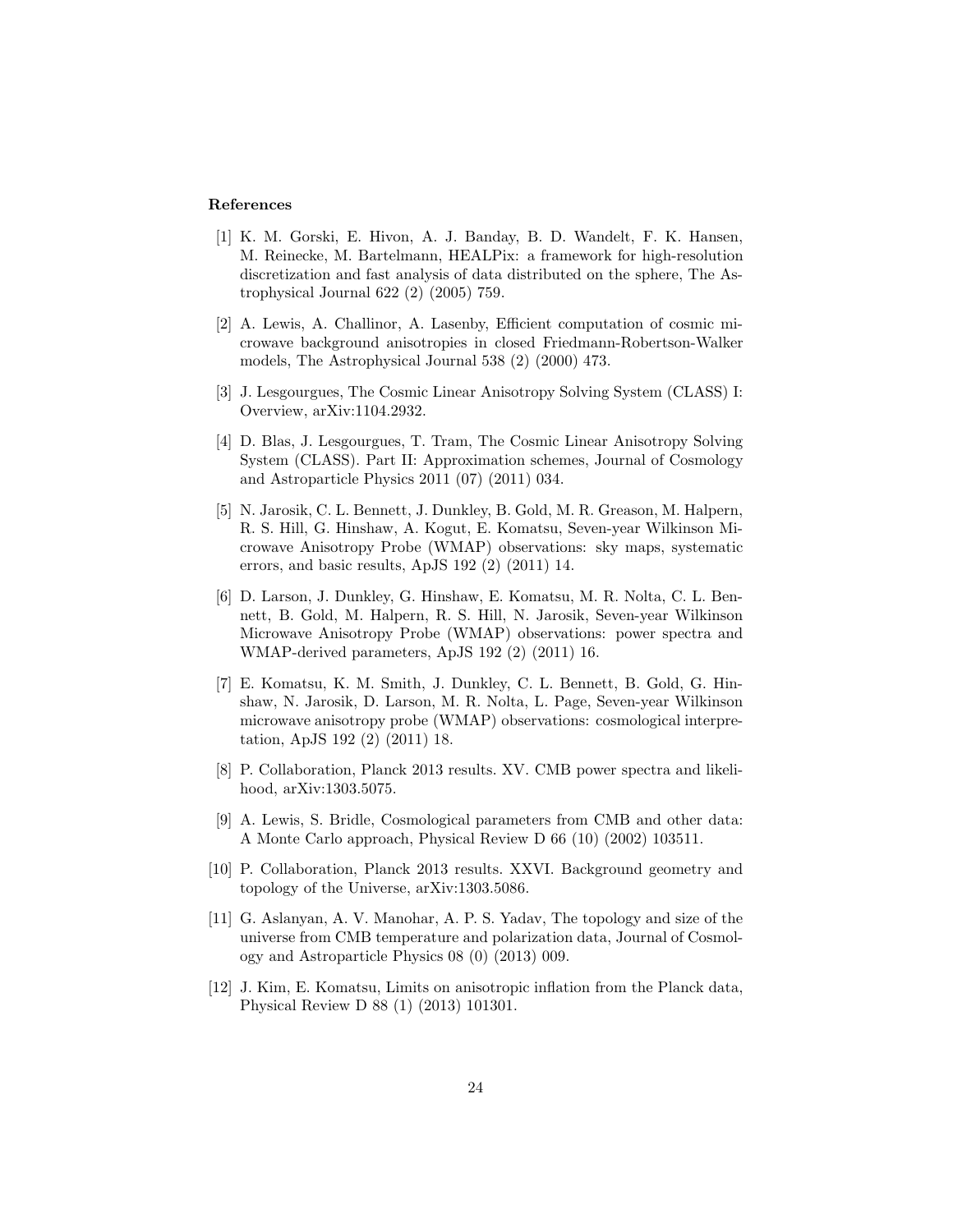# References

- <span id="page-23-0"></span>[1] K. M. Gorski, E. Hivon, A. J. Banday, B. D. Wandelt, F. K. Hansen, M. Reinecke, M. Bartelmann, HEALPix: a framework for high-resolution discretization and fast analysis of data distributed on the sphere, The Astrophysical Journal 622 (2) (2005) 759.
- <span id="page-23-1"></span>[2] A. Lewis, A. Challinor, A. Lasenby, Efficient computation of cosmic microwave background anisotropies in closed Friedmann-Robertson-Walker models, The Astrophysical Journal 538 (2) (2000) 473.
- <span id="page-23-2"></span>[3] J. Lesgourgues, The Cosmic Linear Anisotropy Solving System (CLASS) I: Overview, arXiv:1104.2932.
- <span id="page-23-3"></span>[4] D. Blas, J. Lesgourgues, T. Tram, The Cosmic Linear Anisotropy Solving System (CLASS). Part II: Approximation schemes, Journal of Cosmology and Astroparticle Physics 2011 (07) (2011) 034.
- <span id="page-23-4"></span>[5] N. Jarosik, C. L. Bennett, J. Dunkley, B. Gold, M. R. Greason, M. Halpern, R. S. Hill, G. Hinshaw, A. Kogut, E. Komatsu, Seven-year Wilkinson Microwave Anisotropy Probe (WMAP) observations: sky maps, systematic errors, and basic results, ApJS 192 (2) (2011) 14.
- <span id="page-23-5"></span>[6] D. Larson, J. Dunkley, G. Hinshaw, E. Komatsu, M. R. Nolta, C. L. Bennett, B. Gold, M. Halpern, R. S. Hill, N. Jarosik, Seven-year Wilkinson Microwave Anisotropy Probe (WMAP) observations: power spectra and WMAP-derived parameters, ApJS 192 (2) (2011) 16.
- <span id="page-23-6"></span>[7] E. Komatsu, K. M. Smith, J. Dunkley, C. L. Bennett, B. Gold, G. Hinshaw, N. Jarosik, D. Larson, M. R. Nolta, L. Page, Seven-year Wilkinson microwave anisotropy probe (WMAP) observations: cosmological interpretation, ApJS 192 (2) (2011) 18.
- <span id="page-23-7"></span>[8] P. Collaboration, Planck 2013 results. XV. CMB power spectra and likelihood, arXiv:1303.5075.
- <span id="page-23-8"></span>[9] A. Lewis, S. Bridle, Cosmological parameters from CMB and other data: A Monte Carlo approach, Physical Review D 66 (10) (2002) 103511.
- <span id="page-23-9"></span>[10] P. Collaboration, Planck 2013 results. XXVI. Background geometry and topology of the Universe, arXiv:1303.5086.
- <span id="page-23-10"></span>[11] G. Aslanyan, A. V. Manohar, A. P. S. Yadav, The topology and size of the universe from CMB temperature and polarization data, Journal of Cosmology and Astroparticle Physics 08 (0) (2013) 009.
- <span id="page-23-11"></span>[12] J. Kim, E. Komatsu, Limits on anisotropic inflation from the Planck data, Physical Review D 88 (1) (2013) 101301.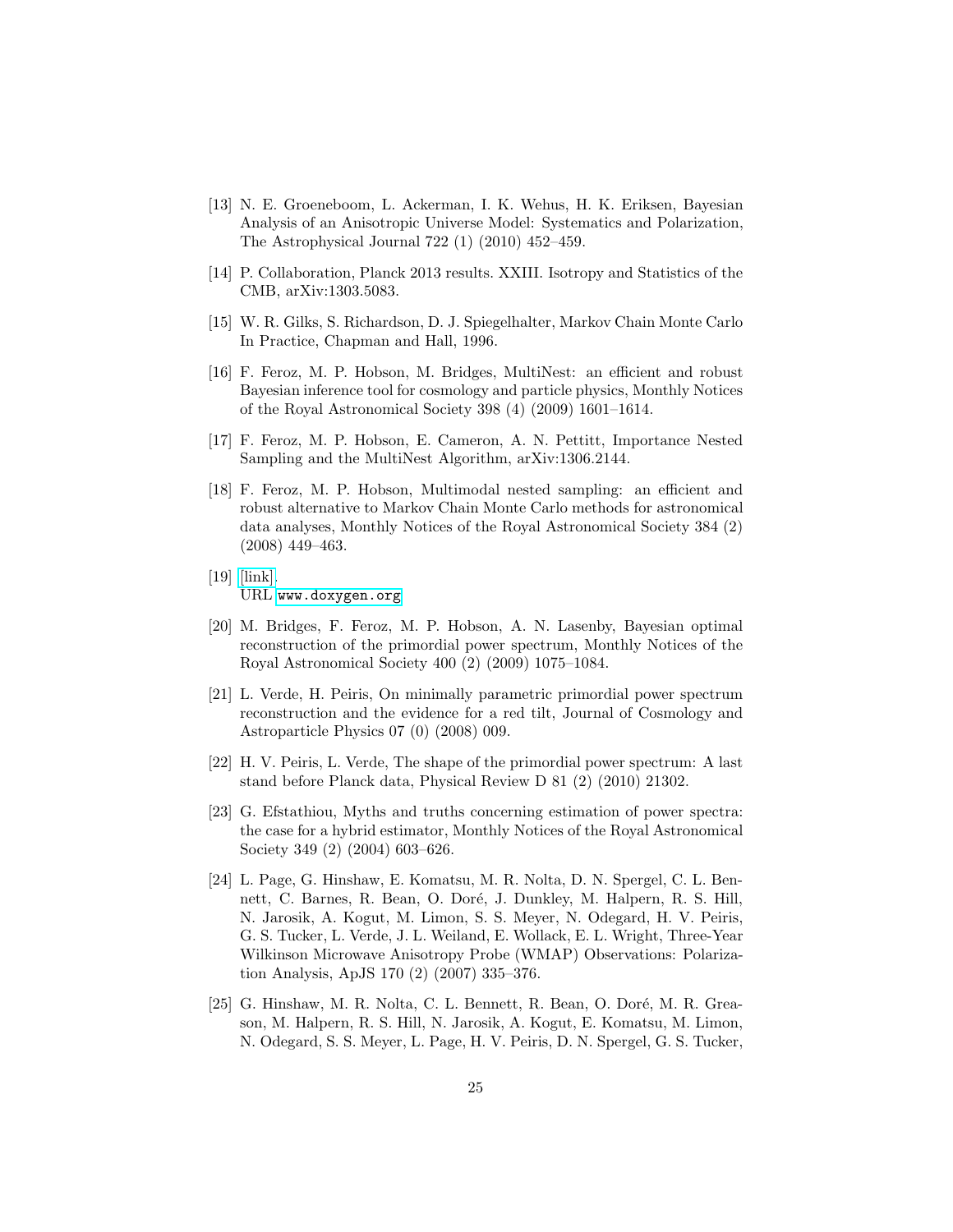- <span id="page-24-0"></span>[13] N. E. Groeneboom, L. Ackerman, I. K. Wehus, H. K. Eriksen, Bayesian Analysis of an Anisotropic Universe Model: Systematics and Polarization, The Astrophysical Journal 722 (1) (2010) 452–459.
- <span id="page-24-1"></span>[14] P. Collaboration, Planck 2013 results. XXIII. Isotropy and Statistics of the CMB, arXiv:1303.5083.
- <span id="page-24-2"></span>[15] W. R. Gilks, S. Richardson, D. J. Spiegelhalter, Markov Chain Monte Carlo In Practice, Chapman and Hall, 1996.
- <span id="page-24-3"></span>[16] F. Feroz, M. P. Hobson, M. Bridges, MultiNest: an efficient and robust Bayesian inference tool for cosmology and particle physics, Monthly Notices of the Royal Astronomical Society 398 (4) (2009) 1601–1614.
- <span id="page-24-4"></span>[17] F. Feroz, M. P. Hobson, E. Cameron, A. N. Pettitt, Importance Nested Sampling and the MultiNest Algorithm, arXiv:1306.2144.
- <span id="page-24-5"></span>[18] F. Feroz, M. P. Hobson, Multimodal nested sampling: an efficient and robust alternative to Markov Chain Monte Carlo methods for astronomical data analyses, Monthly Notices of the Royal Astronomical Society 384 (2) (2008) 449–463.
- <span id="page-24-6"></span>[19] [\[link\].](www.doxygen.org) URL <www.doxygen.org>
- <span id="page-24-7"></span>[20] M. Bridges, F. Feroz, M. P. Hobson, A. N. Lasenby, Bayesian optimal reconstruction of the primordial power spectrum, Monthly Notices of the Royal Astronomical Society 400 (2) (2009) 1075–1084.
- <span id="page-24-8"></span>[21] L. Verde, H. Peiris, On minimally parametric primordial power spectrum reconstruction and the evidence for a red tilt, Journal of Cosmology and Astroparticle Physics 07 (0) (2008) 009.
- <span id="page-24-9"></span>[22] H. V. Peiris, L. Verde, The shape of the primordial power spectrum: A last stand before Planck data, Physical Review D 81 (2) (2010) 21302.
- <span id="page-24-10"></span>[23] G. Efstathiou, Myths and truths concerning estimation of power spectra: the case for a hybrid estimator, Monthly Notices of the Royal Astronomical Society 349 (2) (2004) 603–626.
- <span id="page-24-11"></span>[24] L. Page, G. Hinshaw, E. Komatsu, M. R. Nolta, D. N. Spergel, C. L. Bennett, C. Barnes, R. Bean, O. Doré, J. Dunkley, M. Halpern, R. S. Hill, N. Jarosik, A. Kogut, M. Limon, S. S. Meyer, N. Odegard, H. V. Peiris, G. S. Tucker, L. Verde, J. L. Weiland, E. Wollack, E. L. Wright, Three-Year Wilkinson Microwave Anisotropy Probe (WMAP) Observations: Polarization Analysis, ApJS 170 (2) (2007) 335–376.
- <span id="page-24-12"></span>[25] G. Hinshaw, M. R. Nolta, C. L. Bennett, R. Bean, O. Doré, M. R. Greason, M. Halpern, R. S. Hill, N. Jarosik, A. Kogut, E. Komatsu, M. Limon, N. Odegard, S. S. Meyer, L. Page, H. V. Peiris, D. N. Spergel, G. S. Tucker,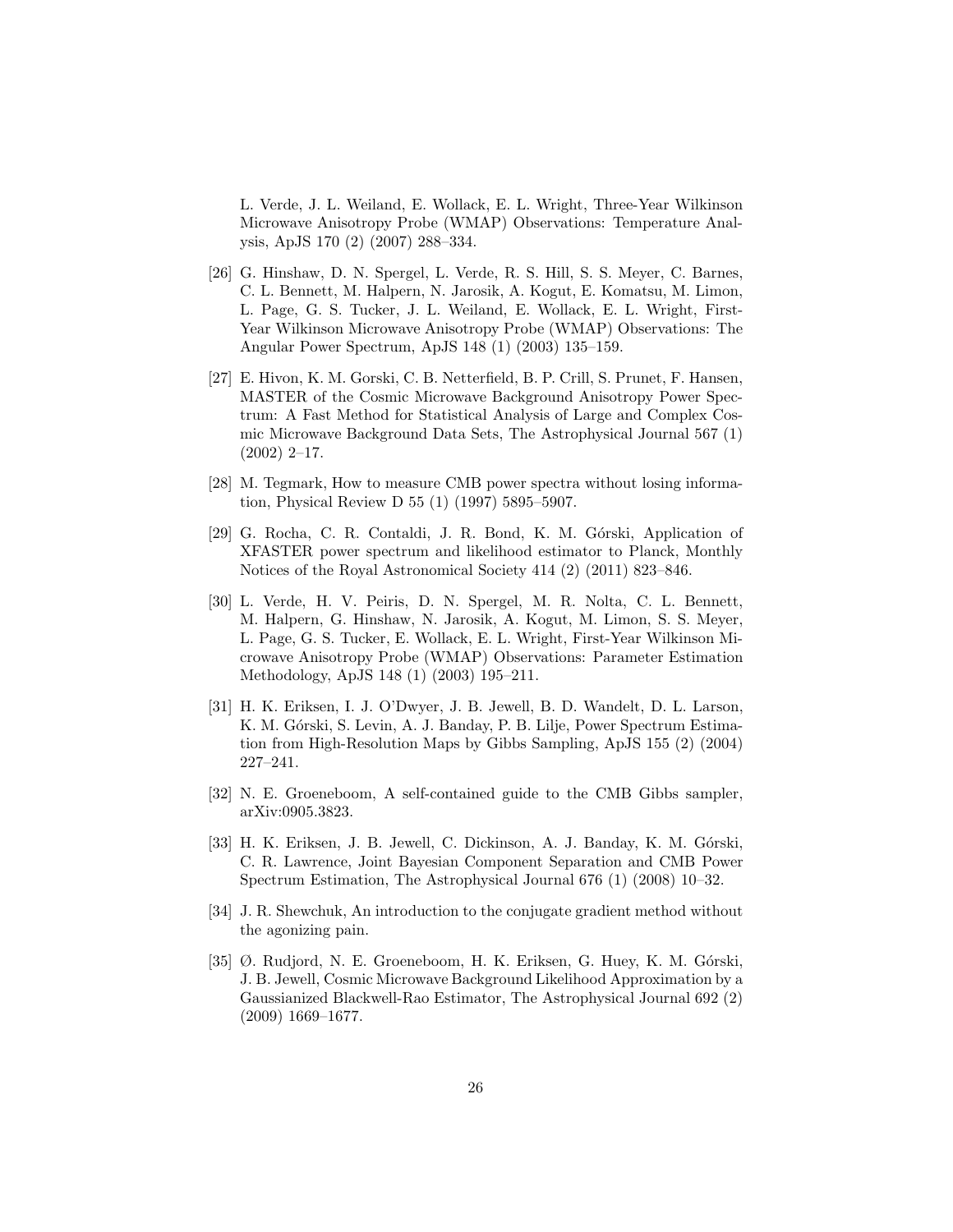L. Verde, J. L. Weiland, E. Wollack, E. L. Wright, Three-Year Wilkinson Microwave Anisotropy Probe (WMAP) Observations: Temperature Analysis, ApJS 170 (2) (2007) 288–334.

- <span id="page-25-0"></span>[26] G. Hinshaw, D. N. Spergel, L. Verde, R. S. Hill, S. S. Meyer, C. Barnes, C. L. Bennett, M. Halpern, N. Jarosik, A. Kogut, E. Komatsu, M. Limon, L. Page, G. S. Tucker, J. L. Weiland, E. Wollack, E. L. Wright, First-Year Wilkinson Microwave Anisotropy Probe (WMAP) Observations: The Angular Power Spectrum, ApJS 148 (1) (2003) 135–159.
- <span id="page-25-1"></span>[27] E. Hivon, K. M. Gorski, C. B. Netterfield, B. P. Crill, S. Prunet, F. Hansen, MASTER of the Cosmic Microwave Background Anisotropy Power Spectrum: A Fast Method for Statistical Analysis of Large and Complex Cosmic Microwave Background Data Sets, The Astrophysical Journal 567 (1) (2002) 2–17.
- <span id="page-25-2"></span>[28] M. Tegmark, How to measure CMB power spectra without losing information, Physical Review D 55 (1) (1997) 5895–5907.
- <span id="page-25-3"></span>[29] G. Rocha, C. R. Contaldi, J. R. Bond, K. M. Górski, Application of XFASTER power spectrum and likelihood estimator to Planck, Monthly Notices of the Royal Astronomical Society 414 (2) (2011) 823–846.
- <span id="page-25-4"></span>[30] L. Verde, H. V. Peiris, D. N. Spergel, M. R. Nolta, C. L. Bennett, M. Halpern, G. Hinshaw, N. Jarosik, A. Kogut, M. Limon, S. S. Meyer, L. Page, G. S. Tucker, E. Wollack, E. L. Wright, First-Year Wilkinson Microwave Anisotropy Probe (WMAP) Observations: Parameter Estimation Methodology, ApJS 148 (1) (2003) 195–211.
- <span id="page-25-5"></span>[31] H. K. Eriksen, I. J. O'Dwyer, J. B. Jewell, B. D. Wandelt, D. L. Larson, K. M. Górski, S. Levin, A. J. Banday, P. B. Lilje, Power Spectrum Estimation from High-Resolution Maps by Gibbs Sampling, ApJS 155 (2) (2004) 227–241.
- <span id="page-25-6"></span>[32] N. E. Groeneboom, A self-contained guide to the CMB Gibbs sampler, arXiv:0905.3823.
- <span id="page-25-7"></span>[33] H. K. Eriksen, J. B. Jewell, C. Dickinson, A. J. Banday, K. M. Górski, C. R. Lawrence, Joint Bayesian Component Separation and CMB Power Spectrum Estimation, The Astrophysical Journal 676 (1) (2008) 10–32.
- <span id="page-25-8"></span>[34] J. R. Shewchuk, An introduction to the conjugate gradient method without the agonizing pain.
- <span id="page-25-9"></span>[35] Ø. Rudjord, N. E. Groeneboom, H. K. Eriksen, G. Huey, K. M. G´orski, J. B. Jewell, Cosmic Microwave Background Likelihood Approximation by a Gaussianized Blackwell-Rao Estimator, The Astrophysical Journal 692 (2) (2009) 1669–1677.